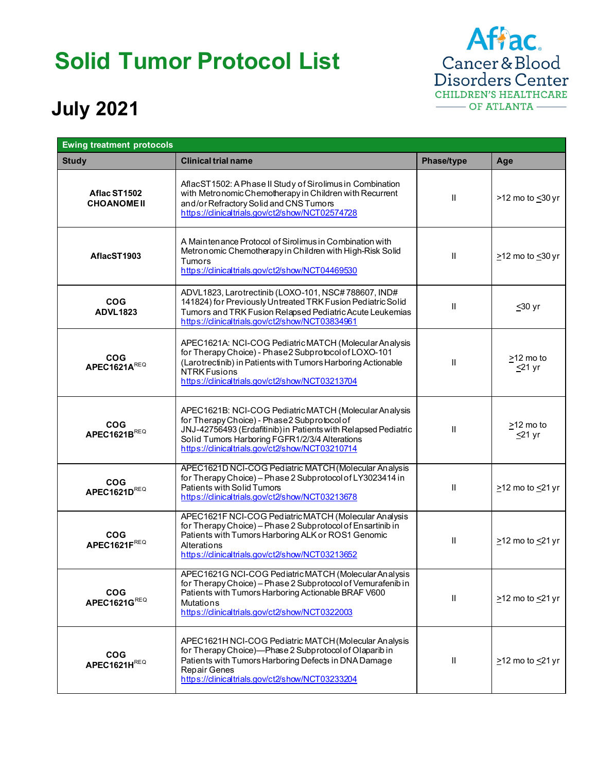## **Solid Tumor Protocol List**



## **July 2021**

| <b>Ewing treatment protocols</b>   |                                                                                                                                                                                                                                                                               |               |                                 |
|------------------------------------|-------------------------------------------------------------------------------------------------------------------------------------------------------------------------------------------------------------------------------------------------------------------------------|---------------|---------------------------------|
| <b>Study</b>                       | <b>Clinical trial name</b>                                                                                                                                                                                                                                                    | Phase/type    | Age                             |
| Aflac ST1502<br><b>CHOANOME II</b> | AflacST1502: A Phase II Study of Sirolimus in Combination<br>with Metronomic Chemotherapy in Children with Recurrent<br>and/or Refractory Solid and CNS Tumors<br>https://clinicaltrials.gov/ct2/show/NCT02574728                                                             | $\mathbf{I}$  | >12 mo to <30 yr                |
| AflacST1903                        | A Maintenance Protocol of Sirolimus in Combination with<br>Metronomic Chemotherapy in Children with High-Risk Solid<br>Tumors<br>https://clinicaltrials.gov/ct2/show/NCT04469530                                                                                              | $\mathbf{H}$  | $\geq$ 12 mo to $\leq$ 30 yr    |
| <b>COG</b><br><b>ADVL1823</b>      | ADVL1823, Larotrectinib (LOXO-101, NSC#788607, IND#<br>141824) for Previously Untreated TRK Fusion Pediatric Solid<br>Tumors and TRK Fusion Relapsed Pediatric Acute Leukemias<br>https://clinicaltrials.gov/ct2/show/NCT03834961                                             | $\mathbf{I}$  | $\leq 30$ yr                    |
| <b>COG</b><br>APEC1621AREQ         | APEC1621A: NCI-COG Pediatric MATCH (Molecular Analysis<br>for Therapy Choice) - Phase 2 Subprotocol of LOXO-101<br>(Larotrectinib) in Patients with Tumors Harboring Actionable<br>NTRK Fusions<br>https://clinicaltrials.gov/ct2/show/NCT03213704                            | $\mathbf{I}$  | $\geq$ 12 mo to<br>$\leq$ 21 yr |
| <b>COG</b><br>APEC1621BREQ         | APEC1621B: NCI-COG Pediatric MATCH (Molecular Analysis<br>for Therapy Choice) - Phase 2 Subprotocol of<br>JNJ-42756493 (Erdafitinib) in Patients with Relapsed Pediatric<br>Solid Tumors Harboring FGFR1/2/3/4 Alterations<br>https://clinicaltrials.gov/ct2/show/NCT03210714 | $\mathbf{H}$  | $\geq$ 12 mo to<br>$\leq$ 21 yr |
| <b>COG</b><br>APEC1621DREQ         | APEC1621D NCI-COG Pediatric MATCH (Molecular Analysis<br>for Therapy Choice) - Phase 2 Subprotocol of LY3023414 in<br>Patients with Solid Tumors<br>https://clinicaltrials.gov/ct2/show/NCT03213678                                                                           | $\mathbf{II}$ | $\geq$ 12 mo to $\leq$ 21 yr    |
| <b>COG</b><br>APEC1621FREQ         | APEC1621F NCI-COG Pediatric MATCH (Molecular Analysis<br>for Therapy Choice) – Phase 2 Subprotocol of Ensartinib in<br>Patients with Tumors Harboring ALK or ROS1 Genomic<br>Alterations<br>https://clinicaltrials.gov/ct2/show/NCT03213652                                   | $\mathbf{I}$  | $\geq$ 12 mo to $\leq$ 21 yr    |
| <b>COG</b><br>APEC1621GREQ         | APEC1621G NCI-COG Pediatric MATCH (Molecular Analysis<br>for Therapy Choice) - Phase 2 Subprotocol of Vemurafenib in<br>Patients with Tumors Harboring Actionable BRAF V600<br>Mutations<br>https://clinicaltrials.gov/ct2/show/NCT0322003                                    | Ш             | $\geq$ 12 mo to $\leq$ 21 yr    |
| <b>COG</b><br>APEC1621HREQ         | APEC1621H NCI-COG Pediatric MATCH (Molecular Analysis<br>for Therapy Choice)-Phase 2 Subprotocol of Olaparib in<br>Patients with Tumors Harboring Defects in DNA Damage<br>Repair Genes<br>https://clinicaltrials.gov/ct2/show/NCT03233204                                    | Ш             | $\geq$ 12 mo to $\leq$ 21 yr    |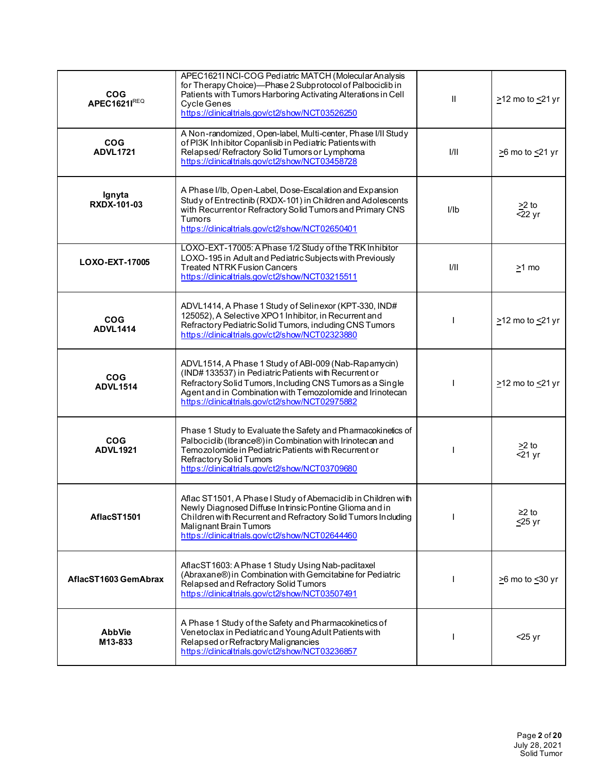| <b>COG</b><br><b>APEC1621IREQ</b> | APEC1621I NCI-COG Pediatric MATCH (Molecular Analysis<br>for Therapy Choice)-Phase 2 Subprotocol of Palbociclib in<br>Patients with Tumors Harboring Activating Alterations in Cell<br><b>Cycle Genes</b><br>https://clinicaltrials.gov/ct2/show/NCT03526250                              | $\mathbf{I}$ | $\geq$ 12 mo to $\leq$ 21 yr |
|-----------------------------------|-------------------------------------------------------------------------------------------------------------------------------------------------------------------------------------------------------------------------------------------------------------------------------------------|--------------|------------------------------|
| <b>COG</b><br><b>ADVL1721</b>     | A Non-randomized, Open-label, Multi-center, Phase I/II Study<br>of PI3K Inhibitor Copanlisib in Pediatric Patients with<br>Relapsed/Refractory Solid Tumors or Lymphoma<br>https://clinicaltrials.gov/ct2/show/NCT03458728                                                                | 1/11         | $\geq$ 6 mo to $\leq$ 21 yr  |
| Ignyta<br>RXDX-101-03             | A Phase I/Ib, Open-Label, Dose-Escalation and Expansion<br>Study of Entrectinib (RXDX-101) in Children and Adolescents<br>with Recurrentor Refractory Solid Tumors and Primary CNS<br>Tumors<br>https://clinicaltrials.gov/ct2/show/NCT02650401                                           | I/Ib         | $\geq$ 2 to<br>$-22$ yr      |
| LOXO-EXT-17005                    | LOXO-EXT-17005: A Phase 1/2 Study of the TRK Inhibitor<br>LOXO-195 in Adult and Pediatric Subjects with Previously<br><b>Treated NTRK Fusion Cancers</b><br>https://clinicaltrials.gov/ct2/show/NCT03215511                                                                               | 1/11         | $\geq$ 1 mo                  |
| <b>COG</b><br><b>ADVL1414</b>     | ADVL1414, A Phase 1 Study of Selinexor (KPT-330, IND#<br>125052), A Selective XPO1 Inhibitor, in Recurrent and<br>Refractory Pediatric Solid Tumors, including CNS Tumors<br>https://dinicaltrials.gov/ct2/show/NCT02323880                                                               |              | $\geq$ 12 mo to $\leq$ 21 yr |
| <b>COG</b><br><b>ADVL1514</b>     | ADVL1514, A Phase 1 Study of ABI-009 (Nab-Rapamycin)<br>(IND#133537) in Pediatric Patients with Recurrent or<br>Refractory Solid Tumors, Including CNS Tumors as a Single<br>Agent and in Combination with Temozolomide and Irinotecan<br>https://clinicaltrials.gov/ct2/show/NCT02975882 |              | $\geq$ 12 mo to $\leq$ 21 yr |
| <b>COG</b><br><b>ADVL1921</b>     | Phase 1 Study to Evaluate the Safety and Pharmacokinetics of<br>Palbociclib (Ibrance®) in Combination with Irinotecan and<br>Temozolomide in Pediatric Patients with Recurrent or<br>Refractory Solid Tumors<br>https://clinicaltrials.gov/ct2/show/NCT03709680                           |              | $\geq$ to<br>$-21$ yr        |
| AflacST1501                       | Aflac ST1501, A Phase I Study of Abemaciclib in Children with<br>Newly Diagnosed Diffuse Infrinsic Pontine Glioma and in<br>Children with Recurrent and Refractory Solid Tumors Including<br>Malignant Brain Tumors<br>https://clinicaltrials.gov/ct2/show/NCT02644460                    |              | $≥2$ to<br>$\leq$ 25 yr      |
| AflacST1603 GemAbrax              | AflacST1603: A Phase 1 Study Using Nab-paclitaxel<br>(Abraxane®) in Combination with Gemcitabine for Pediatric<br>Relapsed and Refractory Solid Tumors<br>https://dinicaltrials.gov/ct2/show/NCT03507491                                                                                  |              | $\geq$ 6 mo to $\leq$ 30 yr  |
| <b>AbbVie</b><br>M13-833          | A Phase 1 Study of the Safety and Pharmacokinetics of<br>Venetoclax in Pediatric and Young Adult Patients with<br>Relapsed or Refractory Malignancies<br>https://clinicaltrials.gov/ct2/show/NCT03236857                                                                                  |              | $<$ 25 yr                    |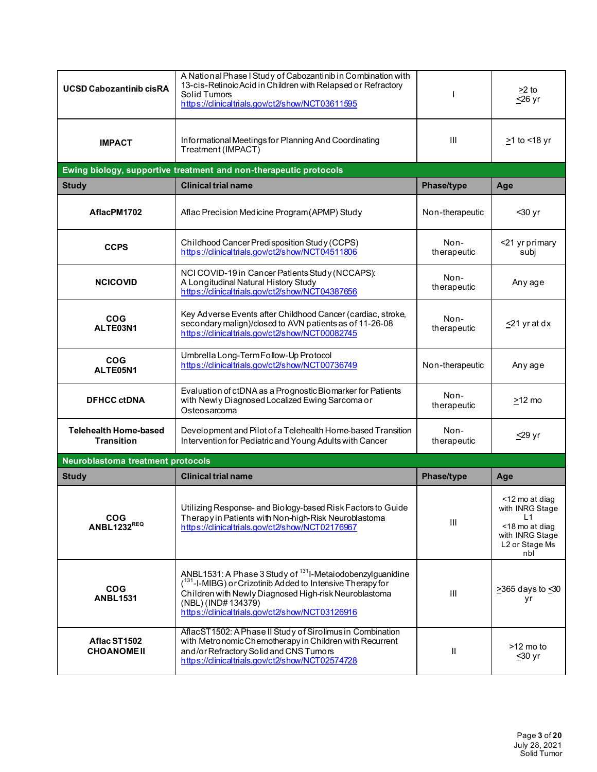| <b>UCSD Cabozantinib cisRA</b>                    | A National Phase I Study of Cabozantinib in Combination with<br>13-cis-Retinoic Acid in Children with Relapsed or Refractory<br>Solid Tumors<br>https://clinicaltrials.gov/ct2/show/NCT03611595                                                                      |                     | >2 to<br>$\overline{\leq}26$ yr                                                                       |
|---------------------------------------------------|----------------------------------------------------------------------------------------------------------------------------------------------------------------------------------------------------------------------------------------------------------------------|---------------------|-------------------------------------------------------------------------------------------------------|
| <b>IMPACT</b>                                     | Informational Meetings for Planning And Coordinating<br>Treatment (IMPACT)                                                                                                                                                                                           | Ш                   | $\geq$ 1 to <18 yr                                                                                    |
|                                                   | Ewing biology, supportive treatment and non-therapeutic protocols                                                                                                                                                                                                    |                     |                                                                                                       |
| <b>Study</b>                                      | <b>Clinical trial name</b>                                                                                                                                                                                                                                           | Phase/type          | Age                                                                                                   |
| AflacPM1702                                       | Aflac Precision Medicine Program (APMP) Study                                                                                                                                                                                                                        | Non-therapeutic     | $30$ yr                                                                                               |
| <b>CCPS</b>                                       | Childhood Cancer Predisposition Study (CCPS)<br>https://clinicaltrials.gov/ct2/show/NCT04511806                                                                                                                                                                      | Non-<br>therapeutic | <21 yr primary<br>subj                                                                                |
| <b>NCICOVID</b>                                   | NCI COVID-19 in Cancer Patients Study (NCCAPS):<br>A Longitudinal Natural History Study<br>https://dinicaltrials.gov/ct2/show/NCT04387656                                                                                                                            | Non-<br>therapeutic | Any age                                                                                               |
| <b>COG</b><br>ALTE03N1                            | Key Adverse Events after Childhood Cancer (cardiac, stroke,<br>secondary malign)/closed to AVN patients as of 11-26-08<br>https://dinicaltrials.gov/ct2/show/NCT00082745                                                                                             | Non-<br>therapeutic | $\leq$ 21 yr at dx                                                                                    |
| <b>COG</b><br>ALTE05N1                            | Umbrella Long-Term Follow-Up Protocol<br>https://clinicaltrials.gov/ct2/show/NCT00736749                                                                                                                                                                             | Non-therapeutic     | Any age                                                                                               |
| <b>DFHCC ctDNA</b>                                | Evaluation of ctDNA as a Prognostic Biomarker for Patients<br>with Newly Diagnosed Localized Ewing Sarcoma or<br>Osteosarcoma                                                                                                                                        | Non-<br>therapeutic | $\geq$ 12 mo                                                                                          |
| <b>Telehealth Home-based</b><br><b>Transition</b> | Development and Pilot of a Telehealth Home-based Transition<br>Intervention for Pediatric and Young Adults with Cancer                                                                                                                                               | Non-<br>therapeutic | <u>&lt;</u> 29 yr                                                                                     |
| Neuroblastoma treatment protocols                 |                                                                                                                                                                                                                                                                      |                     |                                                                                                       |
| <b>Study</b>                                      | <b>Clinical trial name</b>                                                                                                                                                                                                                                           | Phase/type          | Age                                                                                                   |
| <b>COG</b><br><b>ANBL1232REQ</b>                  | Utilizing Response- and Biology-based Risk Factors to Guide<br>Therapy in Patients with Non-high-Risk Neuroblastoma<br>https://clinicaltrials.gov/ct2/show/NCT02176967                                                                                               | III                 | <12 mo at diag<br>with INRG Stage<br>L1<br><18 mo at diag<br>with INRG Stage<br>L2 or Stage Ms<br>nbl |
| <b>COG</b><br><b>ANBL1531</b>                     | ANBL1531: A Phase 3 Study of <sup>131</sup> I-Metaiodobenzylguanidine<br>(131-I-MIBG) or Crizotinib Added to Intensive Therapy for<br>Children with Newly Diagnosed High-risk Neuroblastoma<br>(NBL) (IND#134379)<br>https://clinicaltrials.gov/ct2/show/NCT03126916 | III                 | >365 days to <30<br>yr                                                                                |
| Aflac ST1502<br><b>CHOANOME II</b>                | AflacST1502: A Phase II Study of Sirolimus in Combination<br>with Metronomic Chemotherapy in Children with Recurrent<br>and/or Refractory Solid and CNS Tumors<br>https://clinicaltrials.gov/ct2/show/NCT02574728                                                    | Ш                   | $>12$ mo to<br>≤30 yr                                                                                 |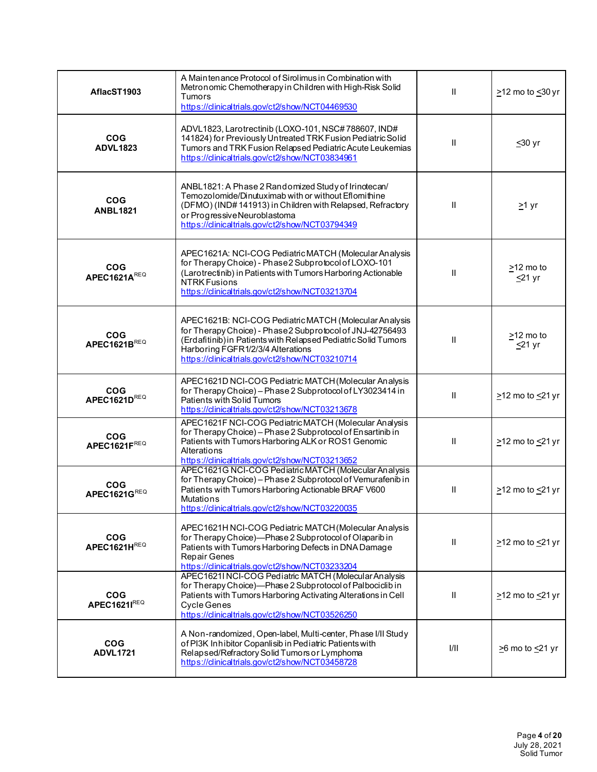| AflacST1903                   | A Maintenance Protocol of Sirolimus in Combination with<br>Metronomic Chemotherapy in Children with High-Risk Solid<br>Tumors<br>https://dinicaltrials.gov/ct2/show/NCT04469530                                                                                               | $\mathbf{II}$ | $\geq$ 12 mo to $\leq$ 30 yr      |
|-------------------------------|-------------------------------------------------------------------------------------------------------------------------------------------------------------------------------------------------------------------------------------------------------------------------------|---------------|-----------------------------------|
| <b>COG</b><br><b>ADVL1823</b> | ADVL1823, Larotrectinib (LOXO-101, NSC#788607, IND#<br>141824) for Previously Untreated TRK Fusion Pediatric Solid<br>Tumors and TRK Fusion Relapsed Pediatric Acute Leukemias<br>https://clinicaltrials.gov/ct2/show/NCT03834961                                             | Ш             | $≤30$ yr                          |
| <b>COG</b><br><b>ANBL1821</b> | ANBL1821: A Phase 2 Randomized Study of Irinotecan/<br>Temozolomide/Dinutuximab with or without Eflomithine<br>(DFMO) (IND#141913) in Children with Relapsed, Refractory<br>or Progressive Neuroblastoma<br>https://clinicaltrials.gov/ct2/show/NCT03794349                   | Ш             | $\geq$ 1 yr                       |
| <b>COG</b><br>APEC1621AREQ    | APEC1621A: NCI-COG Pediatric MATCH (Molecular Analysis<br>for Therapy Choice) - Phase 2 Subprotocol of LOXO-101<br>(Larotrectinib) in Patients with Tumors Harboring Actionable<br>NTRK Fusions<br>https://clinicaltrials.gov/ct2/show/NCT03213704                            | Ш             | $\geq$ 12 mo to<br><u>≤</u> 21 yr |
| <b>COG</b><br>APEC1621BREQ    | APEC1621B: NCI-COG Pediatric MATCH (Molecular Analysis<br>for Therapy Choice) - Phase 2 Subprotocol of JNJ-42756493<br>(Erdafitinib) in Patients with Relapsed Pediatric Solid Tumors<br>Harboring FGFR1/2/3/4 Alterations<br>https://clinicaltrials.gov/ct2/show/NCT03210714 | $\mathbf{I}$  | $\geq$ 12 mo to<br>$\leq$ 21 yr   |
| <b>COG</b><br>APEC1621DREQ    | APEC1621D NCI-COG Pediatric MATCH (Molecular Analysis<br>for Therapy Choice) - Phase 2 Subprotocol of LY3023414 in<br>Patients with Solid Tumors<br>https://clinicaltrials.gov/ct2/show/NCT03213678                                                                           | Ш             | $\geq$ 12 mo to $\leq$ 21 yr      |
| <b>COG</b><br>APEC1621FREQ    | APEC1621F NCI-COG Pediatric MATCH (Molecular Analysis<br>for Therapy Choice) - Phase 2 Subprotocol of Ensartinib in<br>Patients with Tumors Harboring ALK or ROS1 Genomic<br>Alterations<br>https://clinicaltrials.gov/ct2/show/NCT03213652                                   | $\mathbf{I}$  | $\geq$ 12 mo to $\leq$ 21 yr      |
| <b>COG</b><br>APEC1621GREQ    | APEC1621G NCI-COG Pediatric MATCH (Molecular Analysis<br>for Therapy Choice) - Phase 2 Subprotocol of Vemurafenib in<br>Patients with Tumors Harboring Actionable BRAF V600<br><b>Mutations</b><br>https://dinicaltrials.gov/ct2/show/NCT03220035                             | Ш             | $\geq$ 12 mo to $\leq$ 21 yr      |
| <b>COG</b><br>APEC1621HREQ    | APEC1621H NCI-COG Pediatric MATCH (Molecular Analysis<br>for Therapy Choice)-Phase 2 Subprotocol of Olaparib in<br>Patients with Tumors Harboring Defects in DNA Damage<br><b>Repair Genes</b><br>https://clinicaltrials.gov/ct2/show/NCT03233204                             | Ш             | $\geq$ 12 mo to $\leq$ 21 yr      |
| <b>COG</b><br>APEC1621IREQ    | APEC1621I NCI-COG Pediatric MATCH (Molecular Analysis<br>for Therapy Choice)-Phase 2 Subprotocol of Palbociclib in<br>Patients with Tumors Harboring Activating Alterations in Cell<br>Cycle Genes<br>https://clinicaltrials.gov/ct2/show/NCT03526250                         | Ш             | $\geq$ 12 mo to $\leq$ 21 yr      |
| <b>COG</b><br><b>ADVL1721</b> | A Non-randomized, Open-label, Multi-center, Phase I/II Study<br>of PI3K Inhibitor Copanlisib in Pediatric Patients with<br>Relapsed/Refractory Solid Tumors or Lymphoma<br>https://clinicaltrials.gov/ct2/show/NCT03458728                                                    | 1/11          | $\geq$ 6 mo to $\leq$ 21 yr       |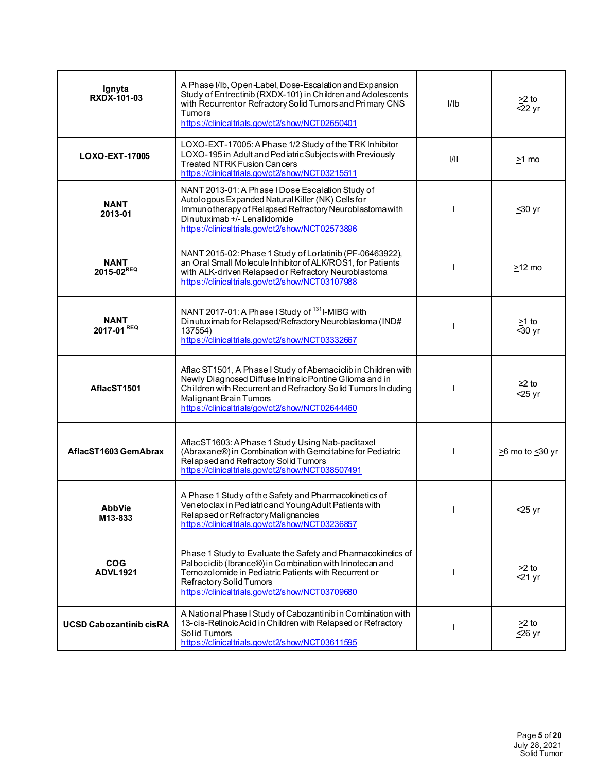| Ignyta<br>RXDX-101-03          | A Phase I/Ib, Open-Label, Dose-Escalation and Expansion<br>Study of Entrectinib (RXDX-101) in Children and Adolescents<br>with Recurrentor Refractory Solid Tumors and Primary CNS<br>Tumors<br>https://clinicaltrials.gov/ct2/show/NCT02650401                        | I/Ib | $\geq$ 2 to<br>$-22$ yr           |
|--------------------------------|------------------------------------------------------------------------------------------------------------------------------------------------------------------------------------------------------------------------------------------------------------------------|------|-----------------------------------|
| LOXO-EXT-17005                 | LOXO-EXT-17005: A Phase 1/2 Study of the TRK Inhibitor<br>LOXO-195 in Adult and Pediatric Subjects with Previously<br><b>Treated NTRK Fusion Cancers</b><br>https://clinicaltrials.gov/ct2/show/NCT03215511                                                            | VII. | $\geq$ 1 mo                       |
| <b>NANT</b><br>2013-01         | NANT 2013-01: A Phase I Dose Escalation Study of<br>Autologous Expanded Natural Killer (NK) Cells for<br>Immun otherapy of Relapsed Refractory Neuroblastoma with<br>Dinutuximab +/- Lenalidomide<br>https://clinicaltrials.gov/ct2/show/NCT02573896                   |      | $≤30$ yr                          |
| <b>NANT</b><br>2015-02REQ      | NANT 2015-02: Phase 1 Study of Lorlatinib (PF-06463922),<br>an Oral Small Molecule In hibitor of ALK/ROS1, for Patients<br>with ALK-driven Relapsed or Refractory Neuroblastoma<br>https://dinicaltrials.gov/ct2/show/NCT03107988                                      |      | $\geq$ 12 mo                      |
| <b>NANT</b><br>2017-01 REQ     | NANT 2017-01: A Phase I Study of <sup>131</sup> I-MIBG with<br>Dinutuximab for Relapsed/Refractory Neuroblastoma (IND#<br>137554)<br>https://clinicaltrials.gov/ct2/show/NCT03332667                                                                                   |      | $\geq$ 1 to<br>$-30$ yr           |
| AflacST1501                    | Aflac ST1501, A Phase I Study of Abemaciclib in Children with<br>Newly Diagnosed Diffuse Intrinsic Pontine Glioma and in<br>Children with Recurrent and Refractory Solid Tumors Including<br>Malignant Brain Tumors<br>https://clinicaltrials/gov/ct2/show/NCT02644460 |      | $\geq$ 2 to<br>$\leq$ 25 yr       |
| AflacST1603 GemAbrax           | AflacST1603: A Phase 1 Study Using Nab-paclitaxel<br>(Abraxane®) in Combination with Gemcitabine for Pediatric<br>Relapsed and Refractory Solid Tumors<br>https://dinicaltrials.gov/ct2/show/NCT038507491                                                              |      | $\geq$ 6 mo to $\leq$ 30 yr       |
| <b>AbbVie</b><br>M13-833       | A Phase 1 Study of the Safety and Pharmacokinetics of<br>Venetoclax in Pediatric and Young Adult Patients with<br>Relapsed or Refractory Malignancies<br>https://dinicaltrials.gov/ct2/show/NCT03236857                                                                |      | $<$ 25 yr                         |
| <b>COG</b><br><b>ADVL1921</b>  | Phase 1 Study to Evaluate the Safety and Pharmacokinetics of<br>Palbociclib (Ibrance®) in Combination with Irinotecan and<br>Temozolomide in Pediatric Patients with Recurrent or<br>Refractory Solid Tumors<br>https://clinicaltrials.gov/ct2/show/NCT03709680        |      | $\geq$ to<br>$\overline{5}$ 21 yr |
| <b>UCSD Cabozantinib cisRA</b> | A National Phase I Study of Cabozantinib in Combination with<br>13-cis-Retinoic Acid in Children with Relapsed or Refractory<br>Solid Tumors<br>https://clinicaltrials.gov/ct2/show/NCT03611595                                                                        |      | $>2$ to<br>$≤26$ yr               |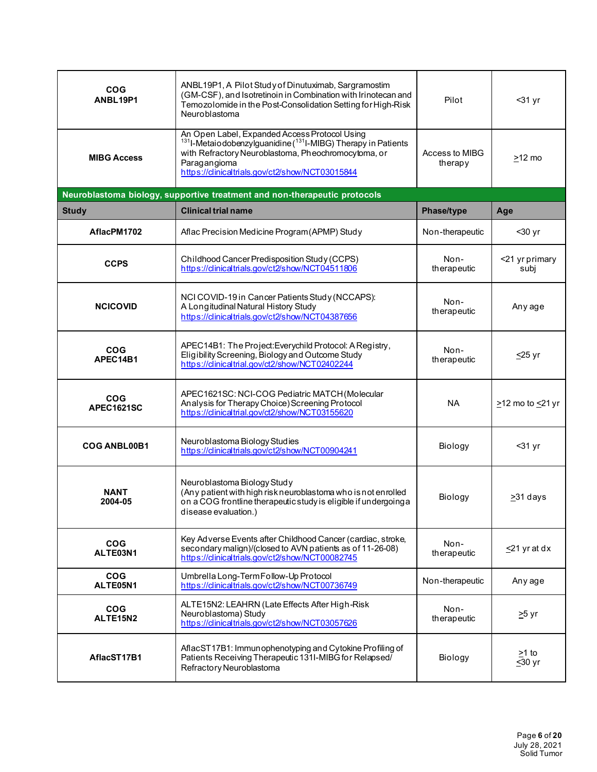| <b>COG</b><br>ANBL19P1   | ANBL19P1, A Pilot Study of Dinutuximab, Sargramostim<br>(GM-CSF), and Isotretinoin in Combination with Irinotecan and<br>Temozolomide in the Post-Consolidation Setting for High-Risk<br>Neuroblastoma                                                           | Pilot                     | $31 yr$                         |
|--------------------------|------------------------------------------------------------------------------------------------------------------------------------------------------------------------------------------------------------------------------------------------------------------|---------------------------|---------------------------------|
| <b>MIBG Access</b>       | An Open Label, Expanded Access Protocol Using<br><sup>131</sup> I-Metaiodobenzylguanidine ( <sup>131</sup> I-MIBG) Therapy in Patients<br>with Refractory Neuroblastoma, Pheochromocytoma, or<br>Paragangioma<br>https://clinicaltrials.gov/ct2/show/NCT03015844 | Access to MIBG<br>therapy | $>12$ mo                        |
|                          | Neuroblastoma biology, supportive treatment and non-therapeutic protocols                                                                                                                                                                                        |                           |                                 |
| <b>Study</b>             | <b>Clinical trial name</b>                                                                                                                                                                                                                                       | Phase/type                | Age                             |
| AflacPM1702              | Aflac Precision Medicine Program (APMP) Study                                                                                                                                                                                                                    | Non-therapeutic           | $30$ yr                         |
| <b>CCPS</b>              | Childhood Cancer Predisposition Study (CCPS)<br>https://clinicaltrials.gov/ct2/show/NCT04511806                                                                                                                                                                  | Non-<br>therapeutic       | <21 yr primary<br>subj          |
| <b>NCICOVID</b>          | NCI COVID-19 in Cancer Patients Study (NCCAPS):<br>A Longitudinal Natural History Study<br>https://dinicaltrials.gov/ct2/show/NCT04387656                                                                                                                        | Non-<br>therapeutic       | Any age                         |
| <b>COG</b><br>APEC14B1   | APEC14B1: The Project: Everychild Protocol: A Registry,<br>Eligibility Screening, Biology and Outcome Study<br>https://dinicaltrial.gov/ct2/show/NCT02402244                                                                                                     | Non-<br>therapeutic       | $\leq$ 25 yr                    |
| <b>COG</b><br>APEC1621SC | APEC1621SC: NCI-COG Pediatric MATCH (Molecular<br>Analysis for Therapy Choice) Screening Protocol<br>https://clinicaltrial.gov/ct2/show/NCT03155620                                                                                                              | <b>NA</b>                 | $\geq$ 12 mo to $\leq$ 21 yr    |
| <b>COG ANBL00B1</b>      | Neuroblastoma Biology Studies<br>https://clinicaltrials.gov/ct2/show/NCT00904241                                                                                                                                                                                 | Biology                   | $31 yr$                         |
| <b>NANT</b><br>2004-05   | Neuroblastoma Biology Study<br>(Any patient with high risk neuroblastoma who is not enrolled<br>on a COG frontline therapeutic study is eligible if undergoing a<br>disease evaluation.)                                                                         | Biology                   | >31 days                        |
| <b>COG</b><br>ALTE03N1   | Key Adverse Events after Childhood Cancer (cardiac, stroke,<br>secondary malign)/(closed to AVN patients as of 11-26-08)<br>https://clinicaltrials.gov/ct2/show/NCT00082745                                                                                      | Non-<br>therapeutic       | $\leq$ 21 yr at dx              |
| <b>COG</b><br>ALTE05N1   | Umbrella Long-Term Follow-Up Protocol<br>https://clinicaltrials.gov/ct2/show/NCT00736749                                                                                                                                                                         | Non-therapeutic           | Any age                         |
| <b>COG</b><br>ALTE15N2   | ALTE15N2: LEAHRN (Late Effects After High-Risk<br>Neuroblastoma) Study<br>https://clinicaltrials.gov/ct2/show/NCT03057626                                                                                                                                        | Non-<br>therapeutic       | <u>&gt;</u> 5 yr                |
| AflacST17B1              | AflacST17B1: Immunophenotyping and Cytokine Profiling of<br>Patients Receiving Therapeutic 131I-MIBG for Relapsed/<br>Refractory Neuroblastoma                                                                                                                   | Biology                   | >1 to<br>$\overline{\leq}30$ yr |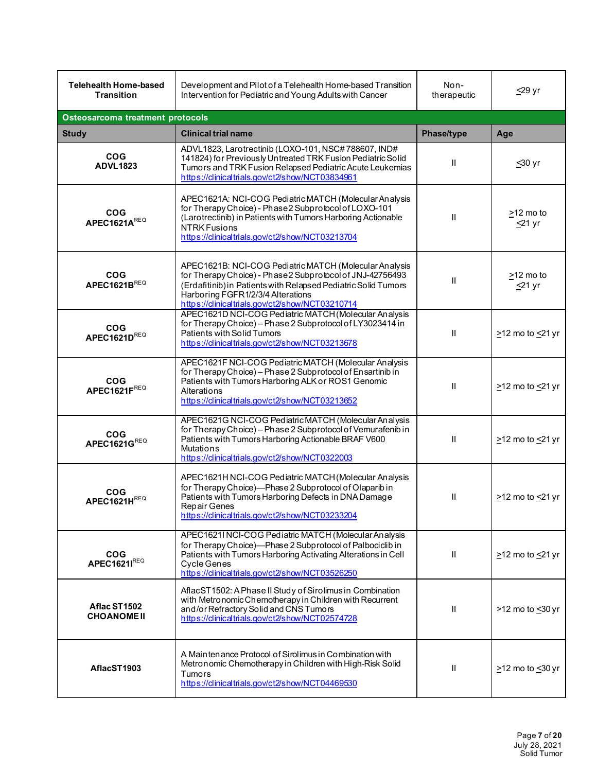| <b>Telehealth Home-based</b><br><b>Transition</b> | Development and Pilot of a Telehealth Home-based Transition<br>Intervention for Pediatric and Young Adults with Cancer                                                                                                                                                        | Non-<br>therapeutic | $\leq$ 29 yr                    |
|---------------------------------------------------|-------------------------------------------------------------------------------------------------------------------------------------------------------------------------------------------------------------------------------------------------------------------------------|---------------------|---------------------------------|
| Osteosarcoma treatment protocols                  |                                                                                                                                                                                                                                                                               |                     |                                 |
| <b>Study</b>                                      | <b>Clinical trial name</b>                                                                                                                                                                                                                                                    | Phase/type          | Age                             |
| <b>COG</b><br><b>ADVL1823</b>                     | ADVL1823, Larotrectinib (LOXO-101, NSC#788607, IND#<br>141824) for Previously Untreated TRK Fusion Pediatric Solid<br>Tumors and TRK Fusion Relapsed Pediatric Acute Leukemias<br>https://dinicaltrials.gov/ct2/show/NCT03834961                                              | $\mathbf{I}$        | $≤30$ yr                        |
| <b>COG</b><br>APEC1621AREQ                        | APEC1621A: NCI-COG Pediatric MATCH (Molecular Analysis<br>for Therapy Choice) - Phase 2 Subprotocol of LOXO-101<br>(Larotrectinib) in Patients with Tumors Harboring Actionable<br>NTRK Fusions<br>https://clinicaltrials.gov/ct2/show/NCT03213704                            | Ш                   | $\geq$ 12 mo to<br>$\leq$ 21 yr |
| <b>COG</b><br><b>APEC1621BREQ</b>                 | APEC1621B: NCI-COG Pediatric MATCH (Molecular Analysis<br>for Therapy Choice) - Phase 2 Subprotocol of JNJ-42756493<br>(Erdafitinib) in Patients with Relapsed Pediatric Solid Tumors<br>Harboring FGFR1/2/3/4 Alterations<br>https://clinicaltrials.gov/ct2/show/NCT03210714 | $\mathsf{I}$        | >12 mo to<br>$\leq$ 21 yr       |
| <b>COG</b><br>APEC1621DREQ                        | APEC1621D NCI-COG Pediatric MATCH (Molecular Analysis<br>for Therapy Choice) - Phase 2 Subprotocol of LY3023414 in<br>Patients with Solid Tumors<br>https://clinicaltrials.gov/ct2/show/NCT03213678                                                                           | $\mathbf{II}$       | $\geq$ 12 mo to $\leq$ 21 yr    |
| <b>COG</b><br>APEC1621FREQ                        | APEC1621F NCI-COG Pediatric MATCH (Molecular Analysis<br>for Therapy Choice) - Phase 2 Subprotocol of Ensartinib in<br>Patients with Tumors Harboring ALK or ROS1 Genomic<br>Alterations<br>https://clinicaltrials.gov/ct2/show/NCT03213652                                   | Ш                   | $\geq$ 12 mo to $\leq$ 21 yr    |
| <b>COG</b><br>APEC1621GREQ                        | APEC1621G NCI-COG Pediatric MATCH (Molecular Analysis<br>for Therapy Choice) - Phase 2 Subprotocol of Vemurafenib in<br>Patients with Tumors Harboring Actionable BRAF V600<br><b>Mutations</b><br>https://clinicaltrials.gov/ct2/show/NCT0322003                             | $\mathbf{I}$        | $\geq$ 12 mo to $\leq$ 21 yr    |
| <b>COG</b><br>APEC1621HREQ                        | APEC1621H NCI-COG Pediatric MATCH (Molecular Analysis<br>for Therapy Choice)-Phase 2 Subprotocol of Olaparib in<br>Patients with Tumors Harboring Defects in DNA Damage<br>Repair Genes<br>https://clinicaltrials.gov/ct2/show/NCT03233204                                    | $\mathbf{H}$        | $\geq$ 12 mo to $\leq$ 21 yr    |
| <b>COG</b><br>APEC1621IREQ                        | APEC1621I NCI-COG Pediatric MATCH (Molecular Analysis<br>for Therapy Choice)-Phase 2 Subprotocol of Palbociclib in<br>Patients with Tumors Harboring Activating Alterations in Cell<br><b>Cycle Genes</b><br>https://clinicaltrials.gov/ct2/show/NCT03526250                  | Ш                   | $\geq$ 12 mo to $\leq$ 21 yr    |
| Aflac ST1502<br><b>CHOANOME II</b>                | AflacST1502: A Phase II Study of Sirolimus in Combination<br>with Metronomic Chemotherapy in Children with Recurrent<br>and/or Refractory Solid and CNS Tumors<br>https://clinicaltrials.gov/ct2/show/NCT02574728                                                             | Ш                   | >12 mo to <30 yr                |
| AflacST1903                                       | A Maintenance Protocol of Sirolimus in Combination with<br>Metronomic Chemotherapy in Children with High-Risk Solid<br>Tumors<br>https://clinicaltrials.gov/ct2/show/NCT04469530                                                                                              | Ш                   | $\geq$ 12 mo to $\leq$ 30 yr    |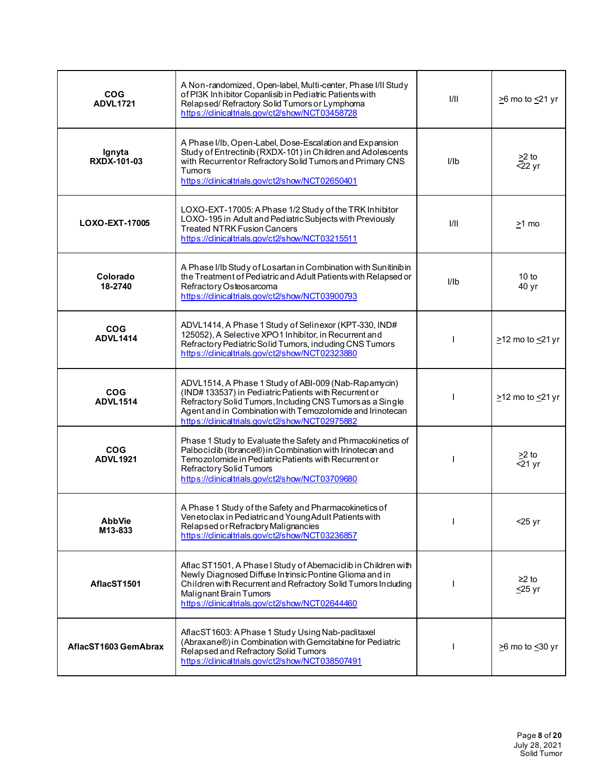| <b>COG</b><br><b>ADVL1721</b> | A Non-randomized, Open-label, Multi-center, Phase I/II Study<br>of PI3K Inhibitor Copanlisib in Pediatric Patients with<br>Relapsed/Refractory Solid Tumors or Lymphoma<br>https://clinicaltrials.gov/ct2/show/NCT03458728                                                                | 1/11 | $\geq$ 6 mo to $\leq$ 21 yr  |
|-------------------------------|-------------------------------------------------------------------------------------------------------------------------------------------------------------------------------------------------------------------------------------------------------------------------------------------|------|------------------------------|
| Ignyta<br>RXDX-101-03         | A Phase I/Ib, Open-Label, Dose-Escalation and Expansion<br>Study of Entrectinib (RXDX-101) in Children and Adolescents<br>with Recurrentor Refractory Solid Tumors and Primary CNS<br>Tumors<br>https://clinicaltrials.gov/ct2/show/NCT02650401                                           | I/Ib | $\geq$ to<br>$-22$ yr        |
| LOXO-EXT-17005                | LOXO-EXT-17005: A Phase 1/2 Study of the TRK Inhibitor<br>LOXO-195 in Adult and Pediatric Subjects with Previously<br><b>Treated NTRK Fusion Cancers</b><br>https://clinicaltrials.gov/ct2/show/NCT03215511                                                                               | 1/11 | $>1$ mo                      |
| Colorado<br>18-2740           | A Phase I/Ib Study of Losartan in Combination with Sunitinibin<br>the Treatment of Pediatric and Adult Patients with Relapsed or<br>Refractory Osteosarcoma<br>https://clinicaltrials.gov/ct2/show/NCT03900793                                                                            | I/Ib | 10 to<br>40 yr               |
| <b>COG</b><br><b>ADVL1414</b> | ADVL1414, A Phase 1 Study of Selinexor (KPT-330, IND#<br>125052), A Selective XPO1 Inhibitor, in Recurrent and<br>Refractory Pediatric Solid Tumors, including CNS Tumors<br>https://clinicaltrials.gov/ct2/show/NCT02323880                                                              |      | $\geq$ 12 mo to $\leq$ 21 yr |
| <b>COG</b><br><b>ADVL1514</b> | ADVL1514, A Phase 1 Study of ABI-009 (Nab-Rapamycin)<br>(IND#133537) in Pediatric Patients with Recurrent or<br>Refractory Solid Tumors, Including CNS Tumors as a Single<br>Agent and in Combination with Temozolomide and Irinotecan<br>https://clinicaltrials.gov/ct2/show/NCT02975882 |      | $\geq$ 12 mo to $\leq$ 21 yr |
| <b>COG</b><br><b>ADVL1921</b> | Phase 1 Study to Evaluate the Safety and Phrmacokinetics of<br>Palbociclib (Ibrance®) in Combination with Irinotecan and<br>Temozolomide in Pediatric Patients with Recurrent or<br>Refractory Solid Tumors<br>https://clinicaltrials.gov/ct2/show/NCT03709680                            |      | $>2$ to<br>$<$ 21 yr         |
| <b>AbbVie</b><br>M13-833      | A Phase 1 Study of the Safety and Pharmacokinetics of<br>Venetoclax in Pediatric and Young Adult Patients with<br>Relapsed or Refractory Malignancies<br>https://dinicaltrials.gov/ct2/show/NCT03236857                                                                                   |      | $<$ 25 yr                    |
| AflacST1501                   | Aflac ST1501, A Phase I Study of Abemaciclib in Children with<br>Newly Diagnosed Diffuse Intrinsic Pontine Glioma and in<br>Children with Recurrent and Refractory Solid Tumors Including<br>Malignant Brain Tumors<br>https://dinicaltrials.gov/ct2/show/NCT02644460                     |      | $≥2$ to<br>$\leq$ 25 yr      |
| AflacST1603 GemAbrax          | AflacST1603: A Phase 1 Study Using Nab-paclitaxel<br>(Abraxane®) in Combination with Gemcitabine for Pediatric<br>Relapsed and Refractory Solid Tumors<br>https://clinicaltrials.gov/ct2/show/NCT038507491                                                                                |      | $\geq$ 6 mo to $\leq$ 30 yr  |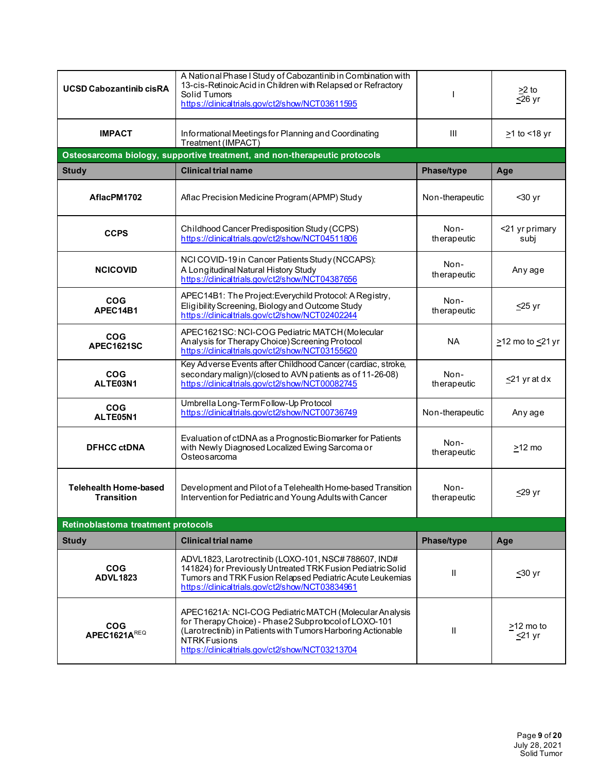| <b>UCSD Cabozantinib cisRA</b>                    | A National Phase I Study of Cabozantinib in Combination with<br>13-cis-Retinoic Acid in Children with Relapsed or Refractory<br>Solid Tumors<br>https://clinicaltrials.gov/ct2/show/NCT03611595                                                          |                     | $\geq$ 2 to<br>$\overline{\leq}26$ yr |
|---------------------------------------------------|----------------------------------------------------------------------------------------------------------------------------------------------------------------------------------------------------------------------------------------------------------|---------------------|---------------------------------------|
| <b>IMPACT</b>                                     | Informational Meetings for Planning and Coordinating<br>Treatment (IMPACT)                                                                                                                                                                               | III                 | $\geq$ 1 to <18 yr                    |
|                                                   | Osteosarcoma biology, supportive treatment, and non-therapeutic protocols                                                                                                                                                                                |                     |                                       |
| <b>Study</b>                                      | <b>Clinical trial name</b>                                                                                                                                                                                                                               | Phase/type          | Age                                   |
| AflacPM1702                                       | Aflac Precision Medicine Program (APMP) Study                                                                                                                                                                                                            | Non-therapeutic     | $30$ yr                               |
| <b>CCPS</b>                                       | Childhood Cancer Predisposition Study (CCPS)<br>https://clinicaltrials.gov/ct2/show/NCT04511806                                                                                                                                                          | Non-<br>therapeutic | <21 yr primary<br>subj                |
| <b>NCICOVID</b>                                   | NCI COVID-19 in Cancer Patients Study (NCCAPS):<br>A Longitudinal Natural History Study<br>https://dinicaltrials.gov/ct2/show/NCT04387656                                                                                                                | Non-<br>therapeutic | Any age                               |
| COG<br>APEC14B1                                   | APEC14B1: The Project: Everychild Protocol: A Registry,<br>Eligibility Screening, Biology and Outcome Study<br>https://clinicaltrials.gov/ct2/show/NCT02402244                                                                                           | Non-<br>therapeutic | $\leq$ 25 yr                          |
| <b>COG</b><br><b>APEC1621SC</b>                   | APEC1621SC: NCI-COG Pediatric MATCH (Molecular<br>Analysis for Therapy Choice) Screening Protocol<br>https://clinicaltrials.gov/ct2/show/NCT03155620                                                                                                     | <b>NA</b>           | $\geq$ 12 mo to $\leq$ 21 yr          |
| <b>COG</b><br>ALTE03N1                            | Key Adverse Events after Childhood Cancer (cardiac, stroke,<br>secondary malign)/(closed to AVN patients as of 11-26-08)<br>https://clinicaltrials.gov/ct2/show/NCT00082745                                                                              | Non-<br>therapeutic | $\leq$ 21 yr at dx                    |
| <b>COG</b><br>ALTE05N1                            | Umbrella Long-Term Follow-Up Protocol<br>https://clinicaltrials.gov/ct2/show/NCT00736749                                                                                                                                                                 | Non-therapeutic     | Any age                               |
| <b>DFHCC ctDNA</b>                                | Evaluation of ctDNA as a Prognostic Biomarker for Patients<br>with Newly Diagnosed Localized Ewing Sarcoma or<br>Osteosarcoma                                                                                                                            | Non-<br>therapeutic | $>12$ mo                              |
| <b>Telehealth Home-based</b><br><b>Transition</b> | Development and Pilot of a Telehealth Home-based Transition<br>Intervention for Pediatric and Young Adults with Cancer                                                                                                                                   | Non-<br>therapeutic | <u>&lt;</u> 29 yr                     |
| Retinoblastoma treatment protocols                |                                                                                                                                                                                                                                                          |                     |                                       |
| <b>Study</b>                                      | <b>Clinical trial name</b>                                                                                                                                                                                                                               | Phase/type          | Age                                   |
| <b>COG</b><br><b>ADVL1823</b>                     | ADVL1823, Larotrectinib (LOXO-101, NSC#788607, IND#<br>141824) for Previously Untreated TRK Fusion Pediatric Solid<br>Tumors and TRK Fusion Relapsed Pediatric Acute Leukemias<br>https://clinicaltrials.gov/ct2/show/NCT03834961                        | $\mathsf{I}$        | $\leq 30$ yr                          |
| <b>COG</b><br>APEC1621AREQ                        | APEC1621A: NCI-COG Pediatric MATCH (Molecular Analysis<br>for Therapy Choice) - Phase 2 Subprotocol of LOXO-101<br>(Larotrectinib) in Patients with Tumors Harboring Actionable<br><b>NTRK Fusions</b><br>https://dinicaltrials.gov/ct2/show/NCT03213704 | $\mathsf{I}$        | >12 mo to<br>$\leq$ 21 yr             |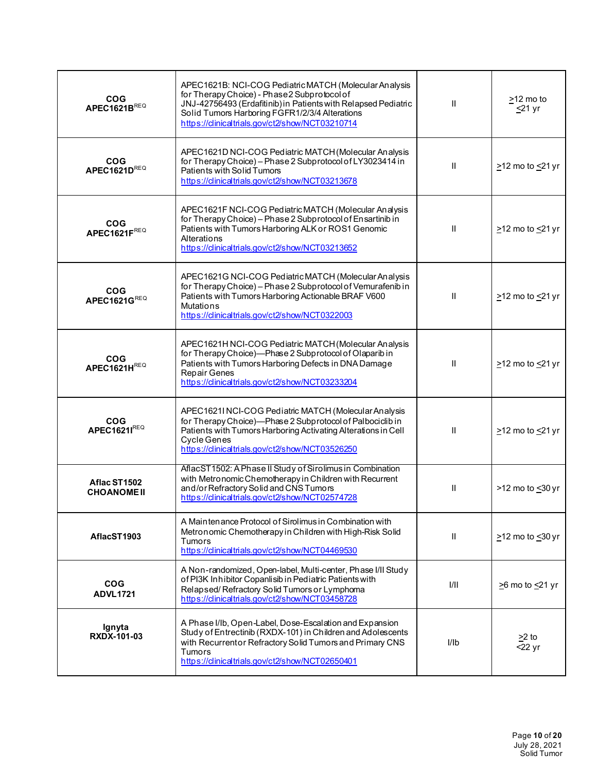| <b>COG</b><br>APEC1621BREQ         | APEC1621B: NCI-COG Pediatric MATCH (Molecular Analysis<br>for Therapy Choice) - Phase 2 Subprotocol of<br>JNJ-42756493 (Erdafitinib) in Patients with Relapsed Pediatric<br>Solid Tumors Harboring FGFR1/2/3/4 Alterations<br>https://dinicaltrials.gov/ct2/show/NCT03210714 | $\mathbf{H}$  | >12 mo to<br>$\leq$ 21 yr       |
|------------------------------------|------------------------------------------------------------------------------------------------------------------------------------------------------------------------------------------------------------------------------------------------------------------------------|---------------|---------------------------------|
| <b>COG</b><br>APEC1621DREQ         | APEC1621D NCI-COG Pediatric MATCH (Molecular Analysis<br>for Therapy Choice) - Phase 2 Subprotocol of LY3023414 in<br>Patients with Solid Tumors<br>https://clinicaltrials.gov/ct2/show/NCT03213678                                                                          | $\mathbf{I}$  | $\geq$ 12 mo to $\leq$ 21 yr    |
| <b>COG</b><br>APEC1621FREQ         | APEC1621F NCI-COG Pediatric MATCH (Molecular Analysis<br>for Therapy Choice) - Phase 2 Subprotocol of Ensartinib in<br>Patients with Tumors Harboring ALK or ROS1 Genomic<br>Alterations<br>https://clinicaltrials.gov/ct2/show/NCT03213652                                  | $\mathbf{H}$  | $\geq$ 12 mo to $\leq$ 21 yr    |
| <b>COG</b><br>APEC1621GREQ         | APEC1621G NCI-COG Pediatric MATCH (Molecular Analysis<br>for Therapy Choice) - Phase 2 Subprotocol of Vemurafenib in<br>Patients with Tumors Harboring Actionable BRAF V600<br><b>Mutations</b><br>https://clinicaltrials.gov/ct2/show/NCT0322003                            | $\mathbf{I}$  | $\geq$ 12 mo to $\leq$ 21 yr    |
| <b>COG</b><br>APEC1621HREQ         | APEC1621H NCI-COG Pediatric MATCH (Molecular Analysis<br>for Therapy Choice)-Phase 2 Subprotocol of Olaparib in<br>Patients with Tumors Harboring Defects in DNA Damage<br>Repair Genes<br>https://clinicaltrials.gov/ct2/show/NCT03233204                                   | $\mathbf{I}$  | $\geq$ 12 mo to $\leq$ 21 yr    |
| <b>COG</b><br>APEC1621IREQ         | APEC1621I NCI-COG Pediatric MATCH (Molecular Analysis<br>for Therapy Choice)-Phase 2 Subprotocol of Palbociclib in<br>Patients with Tumors Harboring Activating Alterations in Cell<br><b>Cycle Genes</b><br>https://clinicaltrials.gov/ct2/show/NCT03526250                 | $\mathbf{H}$  | $\geq$ 12 mo to $\leq$ 21 yr    |
| Aflac ST1502<br><b>CHOANOME II</b> | AflacST1502: A Phase II Study of Sirolimus in Combination<br>with Metronomic Chemotherapy in Children with Recurrent<br>and/or Refractory Solid and CNS Tumors<br>https://clinicaltrials.gov/ct2/show/NCT02574728                                                            | $\mathbf{I}$  | >12 mo to <30 yr                |
| AflacST1903                        | A Maintenance Protocol of Sirolimus in Combination with<br>Metronomic Chemotherapy in Children with High-Risk Solid<br>Tumors<br>https://dinicaltrials.gov/ct2/show/NCT04469530                                                                                              | $\mathbf{II}$ | $\geq$ 12 mo to $\leq$ 30 yr    |
| <b>COG</b><br><b>ADVL1721</b>      | A Non-randomized, Open-label, Multi-center, Phase I/II Study<br>of PI3K Inhibitor Copanlisib in Pediatric Patients with<br>Relapsed/Refractory Solid Tumors or Lymphoma<br>https://clinicaltrials.gov/ct2/show/NCT03458728                                                   | 1/11          | $\geq$ 6 mo to $\leq$ 21 yr     |
| Ignyta<br>RXDX-101-03              | A Phase I/Ib, Open-Label, Dose-Escalation and Expansion<br>Study of Entrectinib (RXDX-101) in Children and Adolescents<br>with Recurrentor Refractory Solid Tumors and Primary CNS<br><b>Tumors</b><br>https://clinicaltrials.gov/ct2/show/NCT02650401                       | l/lb          | $\geq$ to<br>$22 \,\mathrm{yr}$ |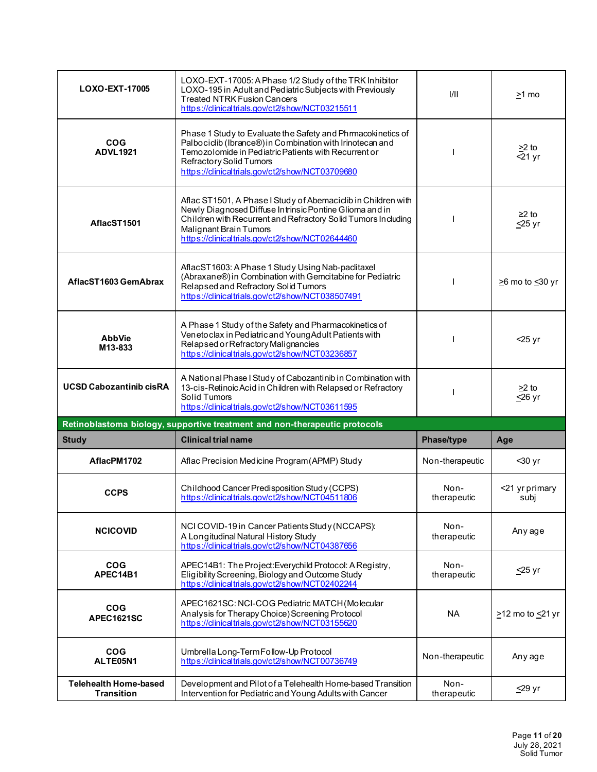| LOXO-EXT-17005                  | LOXO-EXT-17005: A Phase 1/2 Study of the TRK Inhibitor<br>LOXO-195 in Adult and Pediatric Subjects with Previously<br><b>Treated NTRK Fusion Cancers</b><br>https://clinicaltrials.gov/ct2/show/NCT03215511                                                            | 1/11                | >1 mo                               |
|---------------------------------|------------------------------------------------------------------------------------------------------------------------------------------------------------------------------------------------------------------------------------------------------------------------|---------------------|-------------------------------------|
| <b>COG</b><br><b>ADVL1921</b>   | Phase 1 Study to Evaluate the Safety and Phrmacokinetics of<br>Palbociclib (Ibrance®) in Combination with Irinotecan and<br>Temozolomide in Pediatric Patients with Recurrent or<br>Refractory Solid Tumors<br>https://clinicaltrials.gov/ct2/show/NCT03709680         |                     | $\geq$ 2 to<br>$\overline{5}$ 21 yr |
| AflacST1501                     | Aflac ST1501, A Phase I Study of Abemaciclib in Children with<br>Newly Diagnosed Diffuse Intrinsic Pontine Glioma and in<br>Children with Recurrent and Refractory Solid Tumors Including<br>Malignant Brain Tumors<br>https://clinicaltrials.gov/ct2/show/NCT02644460 |                     | $≥2$ to<br>$\leq$ 25 yr             |
| AflacST1603 GemAbrax            | AflacST1603: A Phase 1 Study Using Nab-paclitaxel<br>(Abraxane®) in Combination with Gemcitabine for Pediatric<br>Relapsed and Refractory Solid Tumors<br>https://clinicaltrials.gov/ct2/show/NCT038507491                                                             |                     | $\geq$ 6 mo to $\leq$ 30 yr         |
| <b>AbbVie</b><br>M13-833        | A Phase 1 Study of the Safety and Pharmacokinetics of<br>Venetoclax in Pediatric and Young Adult Patients with<br>Relapsed or Refractory Malignancies<br>https://dinicaltrials.gov/ct2/show/NCT03236857                                                                |                     | $<$ 25 yr                           |
| <b>UCSD Cabozantinib cisRA</b>  | A National Phase I Study of Cabozantinib in Combination with<br>13-cis-Retinoic Acid in Children with Relapsed or Refractory                                                                                                                                           |                     | $\geq$ 2 to                         |
|                                 | Solid Tumors<br>https://clinicaltrials.gov/ct2/show/NCT03611595                                                                                                                                                                                                        |                     | $\leq$ 26 yr                        |
|                                 | Retinoblastoma biology, supportive treatment and non-therapeutic protocols                                                                                                                                                                                             |                     |                                     |
| <b>Study</b>                    | <b>Clinical trial name</b>                                                                                                                                                                                                                                             | Phase/type          | Age                                 |
| AflacPM1702                     | Aflac Precision Medicine Program (APMP) Study                                                                                                                                                                                                                          | Non-therapeutic     | $30$ yr                             |
| <b>CCPS</b>                     | Childhood Cancer Predisposition Study (CCPS)<br>https://clinicaltrials.gov/ct2/show/NCT04511806                                                                                                                                                                        | Non-<br>therapeutic | <21 yr primary<br>subj              |
| <b>NCICOVID</b>                 | NCI COVID-19 in Cancer Patients Study (NCCAPS):<br>A Longitudinal Natural History Study<br>https://dinicaltrials.gov/ct2/show/NCT04387656                                                                                                                              | Non-<br>therapeutic | Any age                             |
| <b>COG</b><br>APEC14B1          | APEC14B1: The Project: Everychild Protocol: A Registry,<br>Eligibility Screening, Biology and Outcome Study<br>https://clinicaltrials.gov/ct2/show/NCT02402244                                                                                                         | Non-<br>therapeutic | $\leq$ 25 yr                        |
| <b>COG</b><br><b>APEC1621SC</b> | APEC1621SC: NCI-COG Pediatric MATCH (Molecular<br>Analysis for Therapy Choice) Screening Protocol<br>https://clinicaltrials.gov/ct2/show/NCT03155620                                                                                                                   | <b>NA</b>           | $\geq$ 12 mo to $\leq$ 21 yr        |
| <b>COG</b><br>ALTE05N1          | Umbrella Long-Term Follow-Up Protocol<br>https://clinicaltrials.gov/ct2/show/NCT00736749                                                                                                                                                                               | Non-therapeutic     | Any age                             |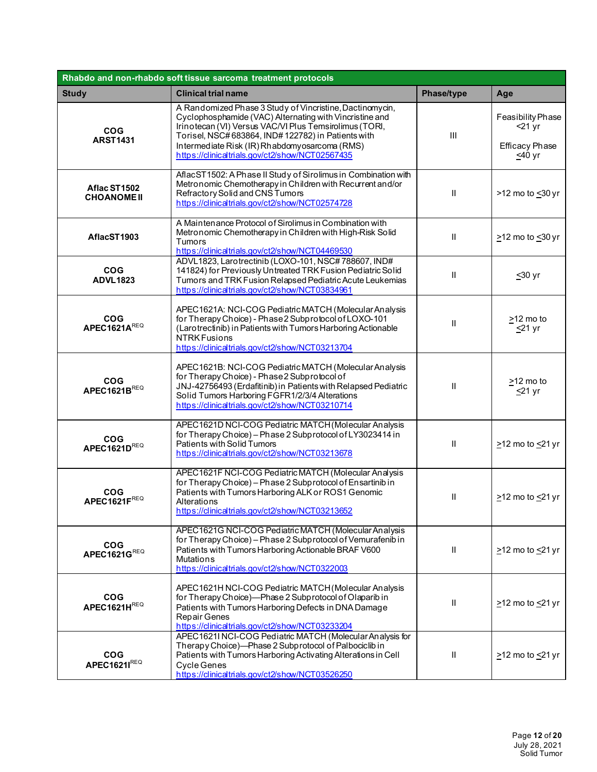| Rhabdo and non-rhabdo soft tissue sarcoma treatment protocols |                                                                                                                                                                                                                                                                                                                                        |                            |                                                                     |
|---------------------------------------------------------------|----------------------------------------------------------------------------------------------------------------------------------------------------------------------------------------------------------------------------------------------------------------------------------------------------------------------------------------|----------------------------|---------------------------------------------------------------------|
| <b>Study</b>                                                  | <b>Clinical trial name</b>                                                                                                                                                                                                                                                                                                             | Phase/type                 | Age                                                                 |
| <b>COG</b><br><b>ARST1431</b>                                 | A Randomized Phase 3 Study of Vincristine, Dactinomycin,<br>Cyclophosphamide (VAC) Alternating with Vincristine and<br>Irinotecan (VI) Versus VAC/VI Plus Temsirolimus (TORI,<br>Torisel, NSC#683864, IND#122782) in Patients with<br>Intermediate Risk (IR) Rhabdomyosarcoma (RMS)<br>https://clinicaltrials.gov/ct2/show/NCT02567435 | III                        | Feasibility Phase<br>$<$ 21 yr<br><b>Efficacy Phase</b><br>$≤40$ yr |
| Aflac ST1502<br><b>CHOANOME II</b>                            | AflacST1502: A Phase II Study of Sirolimus in Combination with<br>Metronomic Chemotherapy in Children with Recurrent and/or<br>Refractory Solid and CNS Tumors<br>https://clinicaltrials.gov/ct2/show/NCT02574728                                                                                                                      | $\mathbf{II}$              | >12 mo to <30 yr                                                    |
| AflacST1903                                                   | A Maintenance Protocol of Sirolimus in Combination with<br>Metronomic Chemotherapy in Children with High-Risk Solid<br>Tumors<br>https://clinicaltrials.gov/ct2/show/NCT04469530                                                                                                                                                       | $\mathbf{II}$              | $\geq$ 12 mo to $\leq$ 30 yr                                        |
| <b>COG</b><br><b>ADVL1823</b>                                 | ADVL1823, Larotrectinib (LOXO-101, NSC#788607, IND#<br>141824) for Previously Untreated TRK Fusion Pediatric Solid<br>Tumors and TRK Fusion Relapsed Pediatric Acute Leukemias<br>https://clinicaltrials.gov/ct2/show/NCT03834961                                                                                                      | Ш                          | $≤30$ yr                                                            |
| <b>COG</b><br>APEC1621AREQ                                    | APEC1621A: NCI-COG Pediatric MATCH (Molecular Analysis<br>for Therapy Choice) - Phase 2 Subprotocol of LOXO-101<br>(Larotrectinib) in Patients with Tumors Harboring Actionable<br><b>NTRK Fusions</b><br>https://clinicaltrials.gov/ct2/show/NCT03213704                                                                              | Ш                          | $\geq$ 12 mo to<br>$\leq$ 21 yr                                     |
| <b>COG</b><br>APEC1621BREQ                                    | APEC1621B: NCI-COG Pediatric MATCH (Molecular Analysis<br>for Therapy Choice) - Phase 2 Subprotocol of<br>JNJ-42756493 (Erdafitinib) in Patients with Relapsed Pediatric<br>Solid Tumors Harboring FGFR1/2/3/4 Alterations<br>https://clinicaltrials.gov/ct2/show/NCT03210714                                                          | $\mathbf{I}$               | >12 mo to<br><u>≤</u> 21 yr                                         |
| <b>COG</b><br>APEC1621DREQ                                    | APEC1621D NCI-COG Pediatric MATCH (Molecular Analysis<br>for Therapy Choice) - Phase 2 Subprotocol of LY3023414 in<br>Patients with Solid Tumors<br>https://clinicaltrials.gov/ct2/show/NCT03213678                                                                                                                                    | $\mathbf{H}$               | $\geq$ 12 mo to $\leq$ 21 yr                                        |
| <b>COG</b><br>APEC1621FREQ                                    | APEC1621F NCI-COG Pediatric MATCH (Molecular Analysis<br>for Therapy Choice) - Phase 2 Subprotocol of Ensartinib in<br>Patients with Tumors Harboring ALK or ROS1 Genomic<br>Alterations<br>https://clinicaltrials.gov/ct2/show/NCT03213652                                                                                            | Ш                          | $\geq$ 12 mo to $\leq$ 21 yr                                        |
| <b>COG</b><br>APEC1621GREQ                                    | APEC1621G NCI-COG Pediatric MATCH (Molecular Analysis<br>for Therapy Choice) - Phase 2 Subprotocol of Vemurafenib in<br>Patients with Tumors Harboring Actionable BRAF V600<br><b>Mutations</b><br>https://clinicaltrials.gov/ct2/show/NCT0322003                                                                                      | $\ensuremath{\mathsf{II}}$ | $\geq$ 12 mo to $\leq$ 21 yr                                        |
| <b>COG</b><br>APEC1621HREQ                                    | APEC1621H NCI-COG Pediatric MATCH (Molecular Analysis<br>for Therapy Choice)-Phase 2 Subprotocol of Olaparib in<br>Patients with Tumors Harboring Defects in DNA Damage<br><b>Repair Genes</b><br>https://clinicaltrials.gov/ct2/show/NCT03233204                                                                                      | Ш                          | $\geq$ 12 mo to $\leq$ 21 yr                                        |
| <b>COG</b><br>APEC1621IREQ                                    | APEC1621INCI-COG Pediatric MATCH (Molecular Analysis for<br>Therapy Choice)-Phase 2 Subprotocol of Palbociclib in<br>Patients with Tumors Harboring Activating Alterations in Cell<br>Cycle Genes<br>https://clinicaltrials.gov/ct2/show/NCT03526250                                                                                   | $\ensuremath{\mathsf{II}}$ | $\geq$ 12 mo to $\leq$ 21 yr                                        |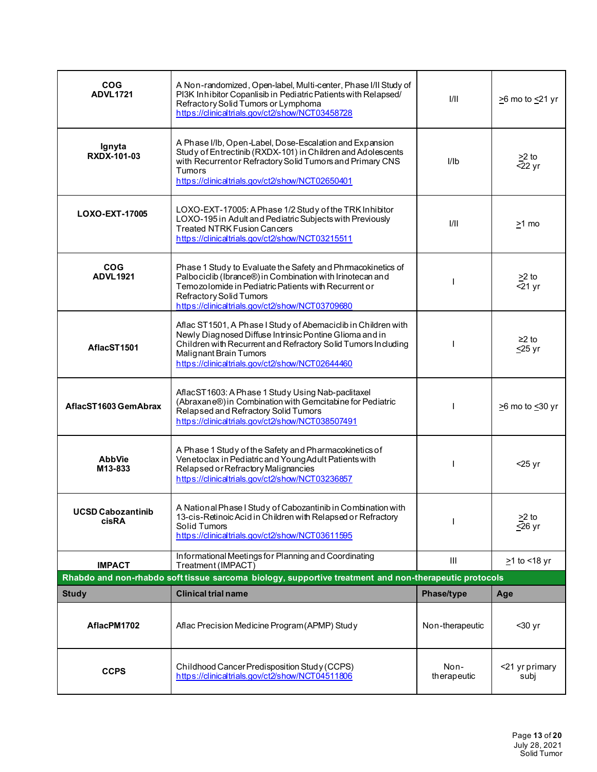| <b>COG</b><br><b>ADVL1721</b>            | A Non-randomized, Open-label, Multi-center, Phase I/II Study of<br>PI3K Inhibitor Copanlisib in Pediatric Patients with Relapsed/<br>Refractory Solid Tumors or Lymphoma<br>https://clinicaltrials.gov/ct2/show/NCT03458728                                          | 1/11            | $\geq$ 6 mo to $\leq$ 21 yr      |
|------------------------------------------|----------------------------------------------------------------------------------------------------------------------------------------------------------------------------------------------------------------------------------------------------------------------|-----------------|----------------------------------|
| Ignyta<br>RXDX-101-03                    | A Phase I/Ib, Open-Label, Dose-Escalation and Expansion<br>Study of Entrectinib (RXDX-101) in Children and Adolescents<br>with Recurrentor Refractory Solid Tumors and Primary CNS<br>Tumors<br>https://clinicaltrials.gov/ct2/show/NCT02650401                      | I/Ib            | $\geq$ to<br>$\overline{522}$ yr |
| LOXO-EXT-17005                           | LOXO-EXT-17005: A Phase 1/2 Study of the TRK Inhibitor<br>LOXO-195 in Adult and Pediatric Subjects with Previously<br><b>Treated NTRK Fusion Cancers</b><br>https://clinicaltrials.gov/ct2/show/NCT03215511                                                          | 1/11            | >1 mo                            |
| <b>COG</b><br><b>ADVL1921</b>            | Phase 1 Study to Evaluate the Safety and Phrmacokinetics of<br>Palbociclib (Ibrance®) in Combination with Irinotecan and<br>Temozolomide in Pediatric Patients with Recurrent or<br>Refractory Solid Tumors<br>https://dinicaltrials.gov/ct2/show/NCT03709680        |                 | $\geq$ to<br>$-21$ yr            |
| AflacST1501                              | Aflac ST1501, A Phase I Study of Abemacidib in Children with<br>Newly Diagnosed Diffuse Intrinsic Pontine Glioma and in<br>Children with Recurrent and Refractory Solid Tumors Including<br>Malignant Brain Tumors<br>https://dinicaltrials.gov/ct2/show/NCT02644460 |                 | $\geq$ 2 to<br>$\leq$ 25 yr      |
| AflacST1603 GemAbrax                     | AflacST1603: A Phase 1 Study Using Nab-paclitaxel<br>(Abraxane®) in Combination with Gemcitabine for Pediatric<br>Relapsed and Refractory Solid Tumors<br>https://dinicaltrials.gov/ct2/show/NCT038507491                                                            |                 | $\geq$ 6 mo to $\leq$ 30 yr      |
| <b>AbbVie</b><br>M13-833                 | A Phase 1 Study of the Safety and Pharmacokinetics of<br>Venetoclax in Pediatric and Young Adult Patients with<br>Relapsed or Refractory Malignancies<br>https://clinicaltrials.gov/ct2/show/NCT03236857                                                             |                 | $<$ 25 yr                        |
| <b>UCSD Cabozantinib</b><br><b>cisRA</b> | A National Phase I Study of Cabozantinib in Combination with<br>13-cis-Retinoic Acid in Children with Relapsed or Refractory<br>Solid Tumors<br>https://clinicaltrials.gov/ct2/show/NCT03611595                                                                      |                 | $>2$ to<br>$\leq$ 26 yr          |
| <b>IMPACT</b>                            | Informational Meetings for Planning and Coordinating<br>Treatment (IMPACT)                                                                                                                                                                                           | Ш               | $\geq$ 1 to <18 yr               |
|                                          | Rhabdo and non-rhabdo soft tissue sarcoma biology, supportive treatment and non-therapeutic protocols                                                                                                                                                                |                 |                                  |
| <b>Study</b>                             | <b>Clinical trial name</b>                                                                                                                                                                                                                                           | Phase/type      | Age                              |
| AflacPM1702                              | Aflac Precision Medicine Program (APMP) Study                                                                                                                                                                                                                        | Non-therapeutic | $30$ yr                          |
|                                          |                                                                                                                                                                                                                                                                      |                 |                                  |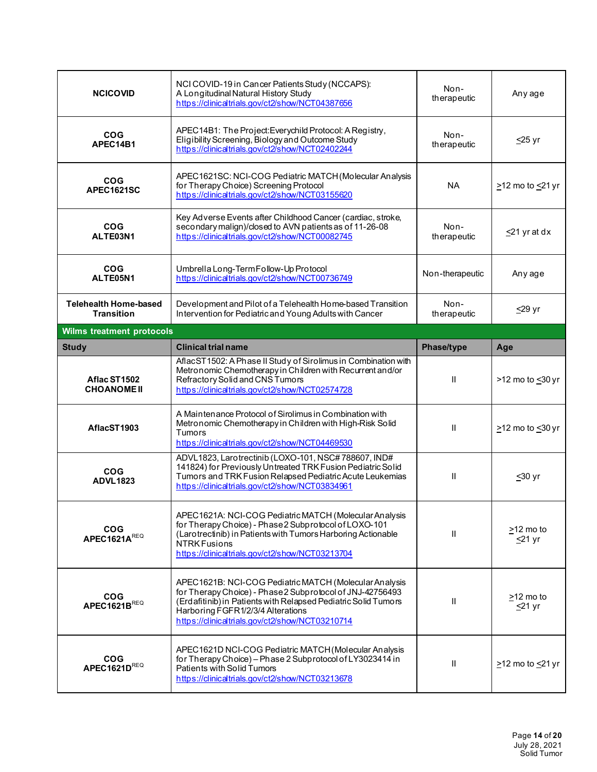| <b>NCICOVID</b>                                   | NCI COVID-19 in Cancer Patients Study (NCCAPS):<br>A Longitudinal Natural History Study<br>https://clinicaltrials.gov/ct2/show/NCT04387656                                                                                                                                    | Non-<br>therapeutic | Any age                         |
|---------------------------------------------------|-------------------------------------------------------------------------------------------------------------------------------------------------------------------------------------------------------------------------------------------------------------------------------|---------------------|---------------------------------|
| <b>COG</b><br>APEC14B1                            | APEC14B1: The Project: Everychild Protocol: A Registry,<br>Eligibility Screening, Biology and Outcome Study<br>https://clinicaltrials.gov/ct2/show/NCT02402244                                                                                                                | Non-<br>therapeutic | $\leq$ 25 yr                    |
| <b>COG</b><br>APEC1621SC                          | APEC1621SC: NCI-COG Pediatric MATCH (Molecular Analysis<br>for Therapy Choice) Screening Protocol<br>https://clinicaltrials.gov/ct2/show/NCT03155620                                                                                                                          | <b>NA</b>           | $\geq$ 12 mo to $\leq$ 21 yr    |
| <b>COG</b><br>ALTE03N1                            | Key Adverse Events after Childhood Cancer (cardiac, stroke,<br>secondary malign)/closed to AVN patients as of 11-26-08<br>https://clinicaltrials.gov/ct2/show/NCT00082745                                                                                                     | Non-<br>therapeutic | $\leq$ 21 yr at dx              |
| <b>COG</b><br>ALTE05N1                            | Umbrella Long-Term Follow-Up Protocol<br>https://clinicaltrials.gov/ct2/show/NCT00736749                                                                                                                                                                                      | Non-therapeutic     | Any age                         |
| <b>Telehealth Home-based</b><br><b>Transition</b> | Development and Pilot of a Telehealth Home-based Transition<br>Intervention for Pediatric and Young Adults with Cancer                                                                                                                                                        | Non-<br>therapeutic | $\leq$ 29 yr                    |
| <b>Wilms treatment protocols</b>                  |                                                                                                                                                                                                                                                                               |                     |                                 |
| <b>Study</b>                                      | <b>Clinical trial name</b>                                                                                                                                                                                                                                                    | <b>Phase/type</b>   | Age                             |
| Aflac ST1502                                      | AflacST1502: A Phase II Study of Sirolimus in Combination with<br>Metronomic Chemotherapy in Children with Recurrent and/or<br>Refractory Solid and CNS Tumors                                                                                                                | Ш                   | >12 mo to <30 yr                |
| <b>CHOANOME II</b>                                | https://clinicaltrials.gov/ct2/show/NCT02574728                                                                                                                                                                                                                               |                     |                                 |
| AflacST1903                                       | A Maintenance Protocol of Sirolimus in Combination with<br>Metronomic Chemotherapy in Children with High-Risk Solid<br>Tumors<br>https://clinicaltrials.gov/ct2/show/NCT04469530                                                                                              | $\mathbf{H}$        | $\geq$ 12 mo to $\leq$ 30 yr    |
| <b>COG</b><br><b>ADVL1823</b>                     | ADVL1823, Larotrectinib (LOXO-101, NSC#788607, IND#<br>141824) for Previously Untreated TRK Fusion Pediatric Solid<br>Tumors and TRK Fusion Relapsed Pediatric Acute Leukemias<br>https://clinicaltrials.gov/ct2/show/NCT03834961                                             | Ш                   | $≤30$ yr                        |
| <b>COG</b><br>APEC1621AREQ                        | APEC1621A: NCI-COG Pediatric MATCH (Molecular Analysis<br>for Therapy Choice) - Phase 2 Subprotocol of LOXO-101<br>(Larotrectinib) in Patients with Tumors Harboring Actionable<br><b>NTRK Fusions</b><br>https://clinicaltrials.gov/ct2/show/NCT03213704                     | Ш                   | >12 mo to<br>$≤21$ yr           |
| <b>COG</b><br>APEC1621BREQ                        | APEC1621B: NCI-COG Pediatric MATCH (Molecular Analysis<br>for Therapy Choice) - Phase 2 Subprotocol of JNJ-42756493<br>(Erdafitinib) in Patients with Relapsed Pediatric Solid Tumors<br>Harboring FGFR1/2/3/4 Alterations<br>https://clinicaltrials.gov/ct2/show/NCT03210714 | Ш                   | $\geq$ 12 mo to<br>$\leq$ 21 yr |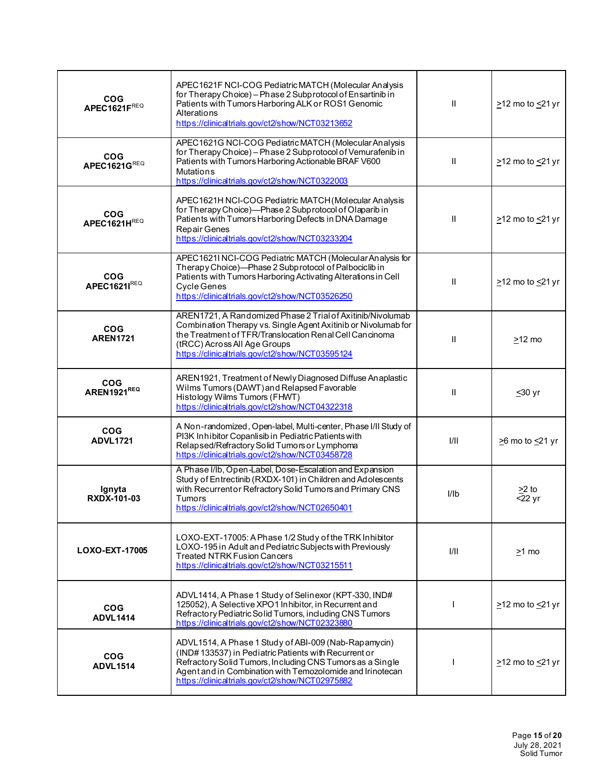| <b>COG</b><br>APEC1621FREQ    | APEC1621F NCI-COG Pediatric MATCH (Molecular Analysis<br>for Therapy Choice) - Phase 2 Subprotocol of Ensartinib in<br>Patients with Tumors Harboring ALK or ROS1 Genomic<br>Alterations<br>https://clinicaltrials.gov/ct2/show/NCT03213652                                               | $\mathbf{II}$ | $\geq$ 12 mo to $\leq$ 21 yr |
|-------------------------------|-------------------------------------------------------------------------------------------------------------------------------------------------------------------------------------------------------------------------------------------------------------------------------------------|---------------|------------------------------|
| <b>COG</b><br>APEC1621GREQ    | APEC1621G NCI-COG Pediatric MATCH (Molecular Analysis<br>for Therapy Choice) - Phase 2 Subprotocol of Vemurafenib in<br>Patients with Tumors Harboring Actionable BRAF V600<br><b>Mutations</b><br>https://clinicaltrials.gov/ct2/show/NCT0322003                                         | $\mathbf{II}$ | $\geq$ 12 mo to $\leq$ 21 yr |
| <b>COG</b><br>APEC1621HREQ    | APEC1621H NCI-COG Pediatric MATCH (Molecular Analysis<br>for Therapy Choice)-Phase 2 Subprotocol of Olaparib in<br>Patients with Tumors Harboring Defects in DNA Damage<br><b>Repair Genes</b><br>https://clinicaltrials.gov/ct2/show/NCT03233204                                         | $\mathbf{II}$ | $\geq$ 12 mo to $\leq$ 21 yr |
| <b>COG</b><br>APEC1621IREQ    | APEC1621I NCI-COG Pediatric MATCH (Molecular Analysis for<br>Therapy Choice)-Phase 2 Subprotocol of Palbociclib in<br>Patients with Tumors Harboring Activating Alterations in Cell<br><b>Cycle Genes</b><br>https://dinicaltrials.gov/ct2/show/NCT03526250                               | Ш             | $\geq$ 12 mo to $\leq$ 21 yr |
| <b>COG</b><br><b>AREN1721</b> | AREN1721, A Randomized Phase 2 Trial of Axitinib/Nivolumab<br>Combination Therapy vs. Single Agent Axitinib or Nivolumab for<br>the Treatment of TFR/Translocation Renal Cell Cancinoma<br>(tRCC) Across All Age Groups<br>https://clinicaltrials.gov/ct2/show/NCT03595124                | $\mathbf{I}$  | $\geq$ 12 mo                 |
| <b>COG</b><br>AREN1921REQ     | AREN1921, Treatment of Newly Diagnosed Diffuse Anaplastic<br>Wilms Tumors (DAWT) and Relapsed Favorable<br>Histology Wilms Tumors (FHWT)<br>https://clinicaltrials.gov/ct2/show/NCT04322318                                                                                               | Ш             | $≤30$ yr                     |
| <b>COG</b><br><b>ADVL1721</b> | A Non-randomized, Open-label, Multi-center, Phase I/II Study of<br>PI3K Inhibitor Copanlisib in Pediatric Patients with<br>Relapsed/Refractory Solid Tumors or Lymphoma<br>https://clinicaltrials.gov/ct2/show/NCT03458728                                                                | 1/11          | $\geq$ 6 mo to $\leq$ 21 yr  |
| lgnyta<br><b>RXDX-101-03</b>  | A Phase I/Ib, Open-Label, Dose-Escalation and Expansion<br>Study of Entrectinib (RXDX-101) in Children and Adolescents<br>with Recurrentor Refractory Solid Tumors and Primary CNS<br><b>Tumors</b><br>https://dinicaltrials.gov/ct2/show/NCT02650401                                     | I/Ib          | $>2$ to<br>$22$ yr           |
| LOXO-EXT-17005                | LOXO-EXT-17005: A Phase 1/2 Study of the TRK Inhibitor<br>LOXO-195 in Adult and Pediatric Subjects with Previously<br><b>Treated NTRK Fusion Cancers</b><br>https://clinicaltrials.gov/ct2/show/NCT03215511                                                                               | I/II          | $\geq$ 1 mo                  |
| <b>COG</b><br><b>ADVL1414</b> | ADVL1414, A Phase 1 Study of Selinexor (KPT-330, IND#<br>125052), A Selective XPO1 Inhibitor, in Recurrent and<br>Refractory Pediatric Solid Tumors, including CNS Tumors<br>https://clinicaltrials.gov/ct2/show/NCT02323880                                                              |               | $\geq$ 12 mo to $\leq$ 21 yr |
| <b>COG</b><br><b>ADVL1514</b> | ADVL1514, A Phase 1 Study of ABI-009 (Nab-Rapamycin)<br>(IND#133537) in Pediatric Patients with Recurrent or<br>Refractory Solid Tumors, Including CNS Tumors as a Single<br>Agent and in Combination with Temozolomide and Irinotecan<br>https://clinicaltrials.gov/ct2/show/NCT02975882 |               | $\geq$ 12 mo to $\leq$ 21 yr |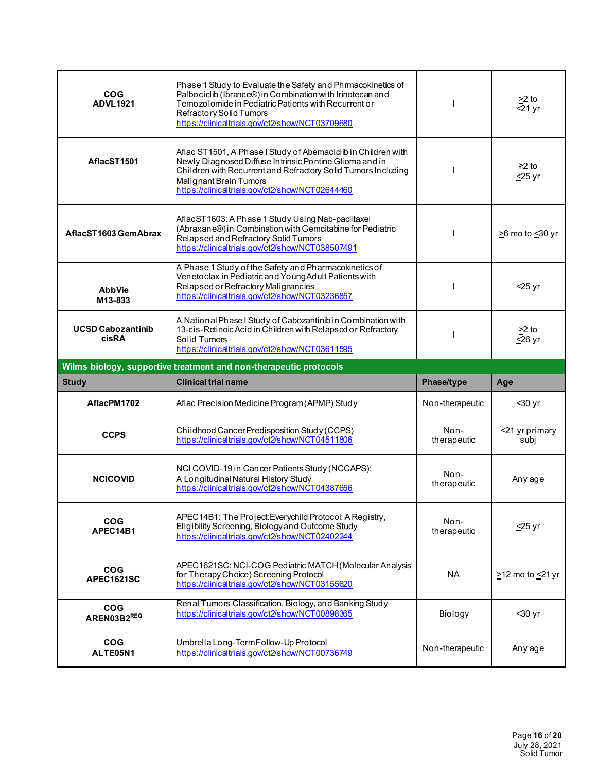| <b>COG</b><br><b>ADVL1921</b>     | Phase 1 Study to Evaluate the Safety and Phrmacokinetics of<br>Palbociclib (Ibrance®) in Combination with Irinotecan and<br>Temozolomide in Pediatric Patients with Recurrent or<br>Refractory Solid Tumors<br>https://clinicaltrials.gov/ct2/show/NCT03709680        |                     | $\geq$ to<br>$\overline{5}$ 21 yr     |
|-----------------------------------|-----------------------------------------------------------------------------------------------------------------------------------------------------------------------------------------------------------------------------------------------------------------------|---------------------|---------------------------------------|
| AflacST1501                       | Aflac ST1501, A Phase I Study of Abemacicib in Children with<br>Newly Diagnosed Diffuse Intrinsic Pontine Glioma and in<br>Children with Recurrent and Refractory Solid Tumors Including<br>Malignant Brain Tumors<br>https://clinicaltrials.gov/ct2/show/NCT02644460 |                     | $≥2$ to<br>$≤25$ yr                   |
| AflacST1603 GemAbrax              | AflacST1603: A Phase 1 Study Using Nab-paclitaxel<br>(Abraxane®) in Combination with Gemcitabine for Pediatric<br>Relapsed and Refractory Solid Tumors<br>https://clinicaltrials.gov/ct2/show/NCT038507491                                                            |                     | $\geq$ 6 mo to $\leq$ 30 yr           |
| <b>AbbVie</b><br>M13-833          | A Phase 1 Study of the Safety and Pharmacokinetics of<br>Venetoclax in Pediatric and Young Adult Patients with<br>Relapsed or Refractory Malignancies<br>https://clinicaltrials.gov/ct2/show/NCT03236857                                                              |                     | $<$ 25 yr                             |
| <b>UCSD Cabozantinib</b><br>cisRA | A National Phase I Study of Cabozantinib in Combination with<br>13-cis-Retinoic Acid in Children with Relapsed or Refractory<br>Solid Tumors<br>https://clinicaltrials.gov/ct2/show/NCT03611595                                                                       |                     | $\geq$ 2 to<br>$\overline{\leq}26$ yr |
|                                   | Wilms biology, supportive treatment and non-therapeutic protocols                                                                                                                                                                                                     |                     |                                       |
|                                   |                                                                                                                                                                                                                                                                       |                     |                                       |
| <b>Study</b>                      | <b>Clinical trial name</b>                                                                                                                                                                                                                                            | Phase/type          | Age                                   |
| AflacPM1702                       | Aflac Precision Medicine Program (APMP) Study                                                                                                                                                                                                                         | Non-therapeutic     | $30$ yr                               |
| <b>CCPS</b>                       | Childhood Cancer Predisposition Study (CCPS)<br>https://clinicaltrials.gov/ct2/show/NCT04511806                                                                                                                                                                       | Non-<br>therapeutic | <21 yr primary<br>subi                |
| <b>NCICOVID</b>                   | NCI COVID-19 in Cancer Patients Study (NCCAPS):<br>A Longitudinal Natural History Study<br>https://clinicaltrials.gov/ct2/show/NCT04387656                                                                                                                            | Non-<br>therapeutic | Any age                               |
| <b>COG</b><br>APEC14B1            | APEC14B1: The Project: Everychild Protocol: A Registry,<br>Eligibility Screening, Biology and Outcome Study<br>https://clinicaltrials.gov/ct2/show/NCT02402244                                                                                                        | Non-<br>therapeutic | ≤25 yr                                |
| <b>COG</b><br><b>APEC1621SC</b>   | APEC1621SC: NCI-COG Pediatric MATCH (Molecular Analysis<br>for Therapy Choice) Screening Protocol<br>https://clinicaltrials.gov/ct2/show/NCT03155620                                                                                                                  | NA.                 | >12 mo to <21 yr                      |
| <b>COG</b><br>AREN03B2REQ         | Renal Tumors Classification, Biology, and Banking Study<br>https://clinicaltrials.gov/ct2/show/NCT00898365                                                                                                                                                            | Biology             | $30 yr$                               |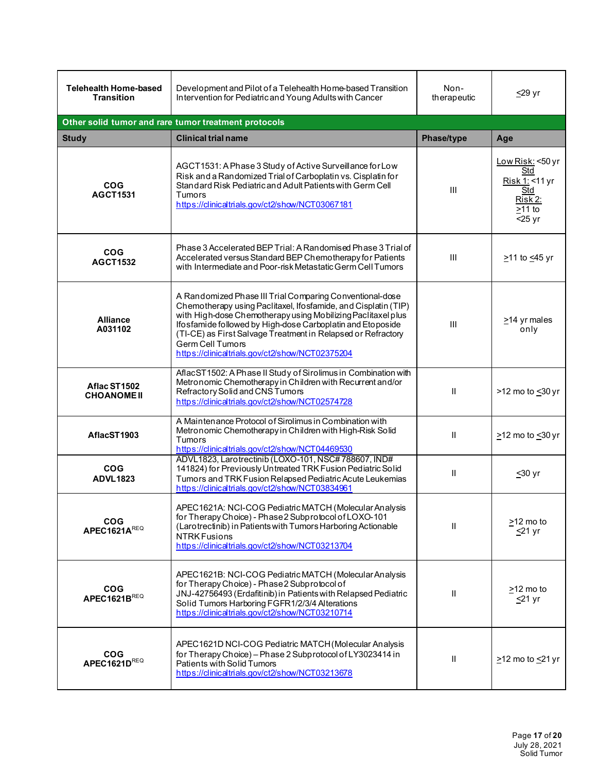| <b>Telehealth Home-based</b><br><b>Transition</b> | Development and Pilot of a Telehealth Home-based Transition<br>Intervention for Pediatric and Young Adults with Cancer                                                                                                                                                                                                                                                                          | Non-<br>therapeutic | $\leq$ 29 yr                                                                                    |
|---------------------------------------------------|-------------------------------------------------------------------------------------------------------------------------------------------------------------------------------------------------------------------------------------------------------------------------------------------------------------------------------------------------------------------------------------------------|---------------------|-------------------------------------------------------------------------------------------------|
|                                                   | Other solid tumor and rare tumor treatment protocols                                                                                                                                                                                                                                                                                                                                            |                     |                                                                                                 |
| <b>Study</b>                                      | <b>Clinical trial name</b>                                                                                                                                                                                                                                                                                                                                                                      | Phase/type          | Age                                                                                             |
| <b>COG</b><br><b>AGCT1531</b>                     | AGCT1531: A Phase 3 Study of Active Surveillance for Low<br>Risk and a Randomized Trial of Carboplatin vs. Cisplatin for<br>Standard Risk Pediatric and Adult Patients with Germ Cell<br>Tumors<br>https://clinicaltrials.gov/ct2/show/NCT03067181                                                                                                                                              | III                 | <u>Low Risk:</u> <50 yr<br>Std<br>Risk 1: <11 yr<br>Std<br>Risk 2:<br>$\geq$ 11 to<br>$<$ 25 yr |
| <b>COG</b><br><b>AGCT1532</b>                     | Phase 3 Accelerated BEP Trial: A Randomised Phase 3 Trial of<br>Accelerated versus Standard BEP Chemotherapy for Patients<br>with Intermediate and Poor-risk Metastatic Germ Cell Tumors                                                                                                                                                                                                        | III                 | ≥11 to ≤45 yr                                                                                   |
| <b>Alliance</b><br>A031102                        | A Randomized Phase III Trial Comparing Conventional-dose<br>Chemotherapy using Paclitaxel, Ifosfamide, and Cisplatin (TIP)<br>with High-dose Chemotherapy using Mobilizing Paclitaxel plus<br>Ifosfamide followed by High-dose Carboplatin and Etoposide<br>(TI-CE) as First Salvage Treatment in Relapsed or Refractory<br>Germ Cell Tumors<br>https://clinicaltrials.gov/ct2/show/NCT02375204 | III                 | $\geq$ 14 yr males<br>only                                                                      |
| Aflac ST1502<br><b>CHOANOME II</b>                | AflacST1502: A Phase II Study of Sirolimus in Combination with<br>Metronomic Chemotherapy in Children with Recurrent and/or<br>Refractory Solid and CNS Tumors<br>https://clinicaltrials.gov/ct2/show/NCT02574728                                                                                                                                                                               | $\mathbf{I}$        | >12 mo to <30 yr                                                                                |
| AflacST1903                                       | A Maintenance Protocol of Sirolimus in Combination with<br>Metronomic Chemotherapy in Children with High-Risk Solid<br>Tumors<br>https://clinicaltrials.gov/ct2/show/NCT04469530                                                                                                                                                                                                                | Ш                   | $\geq$ 12 mo to $\leq$ 30 yr                                                                    |
| <b>COG</b><br><b>ADVL1823</b>                     | ADVL1823, Larotrectinib (LOXO-101, NSC#788607, IND#<br>141824) for Previously Untreated TRK Fusion Pediatric Solid<br>Tumors and TRK Fusion Relapsed Pediatric Acute Leukemias<br>https://clinicaltrials.gov/ct2/show/NCT03834961                                                                                                                                                               | Ш                   | $≤30$ yr                                                                                        |
| <b>COG</b><br>APEC1621AREQ                        | APEC1621A: NCI-COG Pediatric MATCH (Molecular Analysis<br>for Therapy Choice) - Phase 2 Subprotocol of LOXO-101<br>(Larotrectinib) in Patients with Tumors Harboring Actionable<br><b>NTRK Fusions</b><br>https://clinicaltrials.gov/ct2/show/NCT03213704                                                                                                                                       | Ш                   | >12 mo to<br>$<$ 21 yr                                                                          |
| <b>COG</b><br>APEC1621BREQ                        | APEC1621B: NCI-COG Pediatric MATCH (Molecular Analysis<br>for Therapy Choice) - Phase 2 Subprotocol of<br>JNJ-42756493 (Erdafitinib) in Patients with Relapsed Pediatric<br>Solid Tumors Harboring FGFR1/2/3/4 Alterations<br>https://clinicaltrials.gov/ct2/show/NCT03210714                                                                                                                   | Ш                   | $\geq$ 12 mo to<br>$\leq$ 21 yr                                                                 |
| <b>COG</b><br>APEC1621DREQ                        | APEC1621D NCI-COG Pediatric MATCH (Molecular Analysis<br>for Therapy Choice) - Phase 2 Subprotocol of LY3023414 in<br>Patients with Solid Tumors<br>https://clinicaltrials.gov/ct2/show/NCT03213678                                                                                                                                                                                             | Ш                   | $\geq$ 12 mo to $\leq$ 21 yr                                                                    |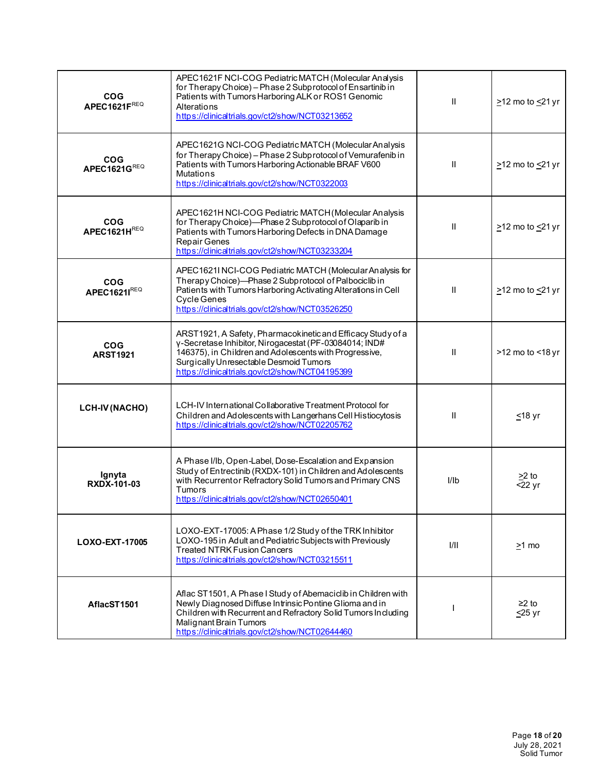| <b>COG</b><br>APEC1621FREQ    | APEC1621F NCI-COG Pediatric MATCH (Molecular Analysis<br>for Therapy Choice) - Phase 2 Subprotocol of Ensartinib in<br>Patients with Tumors Harboring ALK or ROS1 Genomic<br>Alterations<br>https://dinicaltrials.gov/ct2/show/NCT03213652                                   | Ш    | $\geq$ 12 mo to $\leq$ 21 yr |
|-------------------------------|------------------------------------------------------------------------------------------------------------------------------------------------------------------------------------------------------------------------------------------------------------------------------|------|------------------------------|
| <b>COG</b><br>APEC1621GREQ    | APEC1621G NCI-COG Pediatric MATCH (Molecular Analysis<br>for Therapy Choice) - Phase 2 Subprotocol of Vemurafenib in<br>Patients with Tumors Harboring Actionable BRAF V600<br><b>Mutations</b><br>https://clinicaltrials.gov/ct2/show/NCT0322003                            | Ш    | $\geq$ 12 mo to $\leq$ 21 yr |
| <b>COG</b><br>APEC1621HREQ    | APEC1621H NCI-COG Pediatric MATCH (Molecular Analysis<br>for Therapy Choice)-Phase 2 Subprotocol of Olaparib in<br>Patients with Tumors Harboring Defects in DNA Damage<br>Repair Genes<br>https://clinicaltrials.gov/ct2/show/NCT03233204                                   | Ш    | $\geq$ 12 mo to $\leq$ 21 yr |
| <b>COG</b><br>APEC1621IREQ    | APEC1621I NCI-COG Pediatric MATCH (Molecular Analysis for<br>Therapy Choice)-Phase 2 Subprotocol of Palbociclib in<br>Patients with Tumors Harboring Activating Alterations in Cell<br>Cycle Genes<br>https://clinicaltrials.gov/ct2/show/NCT03526250                        | Ш    | $\geq$ 12 mo to $\leq$ 21 yr |
| <b>COG</b><br><b>ARST1921</b> | ARST1921, A Safety, Pharmacokinetic and Efficacy Study of a<br>γ-Secretase Inhibitor, Nirogacestat (PF-03084014; IND#<br>146375), in Children and Adolescents with Progressive,<br>Surgically Unresectable Desmoid Tumors<br>https://clinicaltrials.gov/ct2/show/NCT04195399 | Ш    | >12 mo to <18 yr             |
| <b>LCH-IV (NACHO)</b>         | LCH-IV International Collaborative Treatment Protocol for<br>Children and Adolescents with Langerhans Cell Histiocytosis<br>https://clinicaltrials.gov/ct2/show/NCT02205762                                                                                                  | Ш    | $≤18$ yr                     |
| Ignyta<br><b>RXDX-101-03</b>  | A Phase I/Ib, Open-Label, Dose-Escalation and Expansion<br>Study of Entrectinib (RXDX-101) in Children and Adolescents<br>with Recurrentor Refractory Solid Tumors and Primary CNS<br><b>Tumors</b><br>https://clinicaltrials.gov/ct2/show/NCT02650401                       | I/Ib | >2 to<br>$\overline{5}22$ yr |
| LOXO-EXT-17005                | LOXO-EXT-17005: A Phase 1/2 Study of the TRK Inhibitor<br>LOXO-195 in Adult and Pediatric Subjects with Previously<br><b>Treated NTRK Fusion Cancers</b><br>https://clinicaltrials.gov/ct2/show/NCT03215511                                                                  | 1/11 | $\geq$ 1 mo                  |
| AflacST1501                   | Aflac ST1501, A Phase I Study of Abemaciclib in Children with<br>Newly Diagnosed Diffuse Intrinsic Pontine Glioma and in<br>Children with Recurrent and Refractory Solid Tumors Including<br>Malignant Brain Tumors<br>https://clinicaltrials.gov/ct2/show/NCT02644460       |      | $≥2$ to<br>$\leq$ 25 yr      |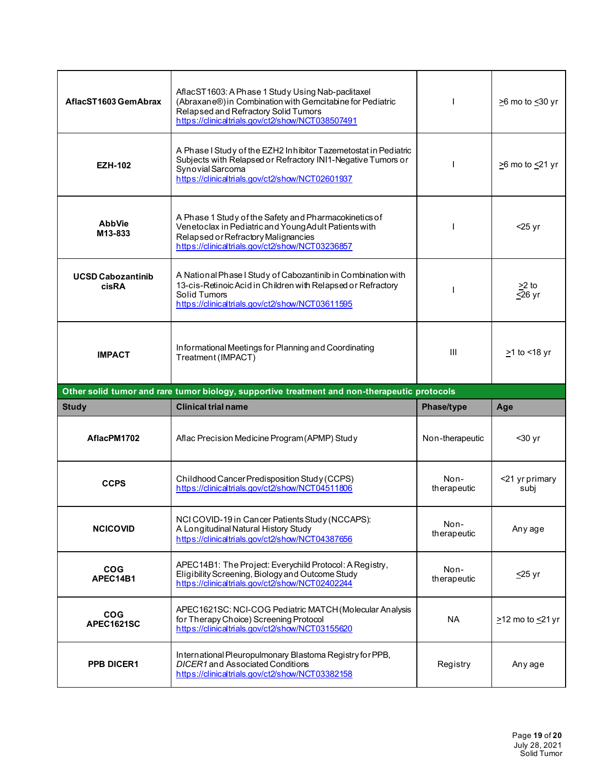| AflacST1603 GemAbrax              | AflacST1603: A Phase 1 Study Using Nab-paclitaxel<br>(Abraxane®) in Combination with Gemcitabine for Pediatric<br>Relapsed and Refractory Solid Tumors<br>https://clinicaltrials.gov/ct2/show/NCT038507491 |                     | $\geq$ 6 mo to $\leq$ 30 yr  |
|-----------------------------------|------------------------------------------------------------------------------------------------------------------------------------------------------------------------------------------------------------|---------------------|------------------------------|
| <b>EZH-102</b>                    | A Phase I Study of the EZH2 Inhibitor Tazemetostat in Pediatric<br>Subjects with Relapsed or Refractory INI1-Negative Tumors or<br>Synovial Sarcoma<br>https://clinicaltrials.gov/ct2/show/NCT02601937     |                     | $\geq$ 6 mo to $\leq$ 21 yr  |
| <b>AbbVie</b><br>M13-833          | A Phase 1 Study of the Safety and Pharmacokinetics of<br>Venetoclax in Pediatric and Young Adult Patients with<br>Relapsed or Refractory Malignancies<br>https://clinicaltrials.gov/ct2/show/NCT03236857   |                     | $<$ 25 yr                    |
| <b>UCSD Cabozantinib</b><br>cisRA | A National Phase I Study of Cabozantinib in Combination with<br>13-cis-Retinoic Acid in Children with Relapsed or Refractory<br>Solid Tumors<br>https://clinicaltrials.gov/ct2/show/NCT03611595            |                     | $>2$ to<br>$\leq$ 26 yr      |
| <b>IMPACT</b>                     | Informational Meetings for Planning and Coordinating<br>Treatment (IMPACT)                                                                                                                                 | Ш                   | $\geq$ 1 to <18 yr           |
|                                   |                                                                                                                                                                                                            |                     |                              |
|                                   | Other solid tumor and rare tumor biology, supportive treatment and non-therapeutic protocols                                                                                                               |                     |                              |
| <b>Study</b>                      | <b>Clinical trial name</b>                                                                                                                                                                                 | <b>Phase/type</b>   | Age                          |
| AflacPM1702                       | Aflac Precision Medicine Program (APMP) Study                                                                                                                                                              | Non-therapeutic     | $30$ yr                      |
| <b>CCPS</b>                       | Childhood Cancer Predisposition Study (CCPS)<br>https://clinicaltrials.gov/ct2/show/NCT04511806                                                                                                            | Non-<br>therapeutic | <21 yr primary<br>subj       |
| <b>NCICOVID</b>                   | NCI COVID-19 in Cancer Patients Study (NCCAPS):<br>A Longitudinal Natural History Study<br>https://clinicaltrials.gov/ct2/show/NCT04387656                                                                 | Non-<br>therapeutic | Any age                      |
| <b>COG</b><br>APEC14B1            | APEC14B1: The Project: Everychild Protocol: A Registry,<br>Eligibility Screening, Biology and Outcome Study<br>https://clinicaltrials.gov/ct2/show/NCT02402244                                             | Non-<br>therapeutic | <u>≤</u> 25 yr               |
| <b>COG</b><br>APEC1621SC          | APEC1621SC: NCI-COG Pediatric MATCH (Molecular Analysis<br>for Therapy Choice) Screening Protocol<br>https://clinicaltrials.gov/ct2/show/NCT03155620                                                       | <b>NA</b>           | $\geq$ 12 mo to $\leq$ 21 yr |